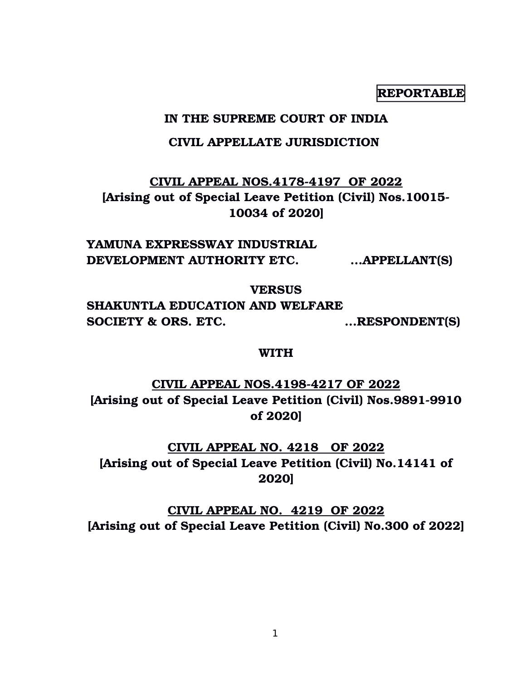**REPORTABLE**

## **IN THE SUPREME COURT OF INDIA**

## **CIVIL APPELLATE JURISDICTION**

# **CIVIL APPEAL NOS.41784197 OF 2022 [Arising out of Special Leave Petition (Civil) Nos.10015 10034 of 2020]**

**YAMUNA EXPRESSWAY INDUSTRIAL DEVELOPMENT AUTHORITY ETC. ...APPELLANT(S)**

**VERSUS**

**SHAKUNTLA EDUCATION AND WELFARE SOCIETY & ORS. ETC.** ... RESPONDENT(S)

**WITH**

**CIVIL APPEAL NOS.41984217 OF 2022** [Arising out of Special Leave Petition (Civil) Nos.9891-9910 **of 2020]**

**CIVIL APPEAL NO. 4218 OF 2022 [Arising out of Special Leave Petition (Civil) No.14141 of 2020]**

**CIVIL APPEAL NO. 4219 OF 2022 [Arising out of Special Leave Petition (Civil) No.300 of 2022]**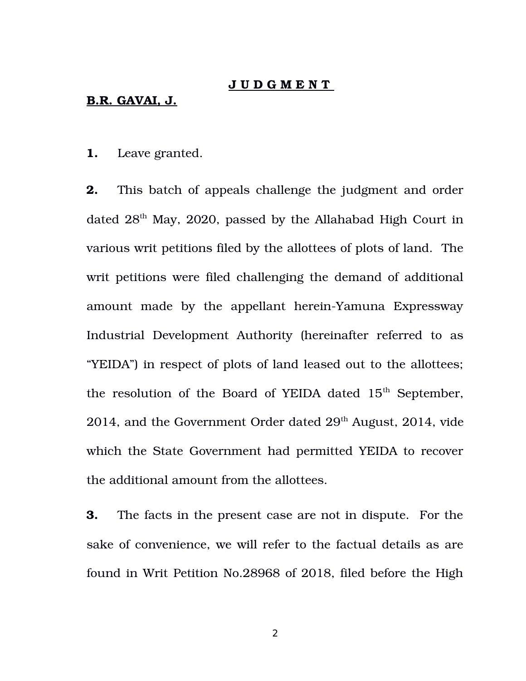#### **J U D G M E N T**

#### **B.R. GAVAI, J.**

**1.** Leave granted.

**2.** This batch of appeals challenge the judgment and order dated  $28<sup>th</sup>$  May, 2020, passed by the Allahabad High Court in various writ petitions filed by the allottees of plots of land. The writ petitions were filed challenging the demand of additional amount made by the appellant herein-Yamuna Expressway Industrial Development Authority (hereinafter referred to as "YEIDA") in respect of plots of land leased out to the allottees; the resolution of the Board of YEIDA dated  $15<sup>th</sup>$  September, 2014, and the Government Order dated  $29<sup>th</sup>$  August, 2014, vide which the State Government had permitted YEIDA to recover the additional amount from the allottees.

**3.** The facts in the present case are not in dispute. For the sake of convenience, we will refer to the factual details as are found in Writ Petition No.28968 of 2018, filed before the High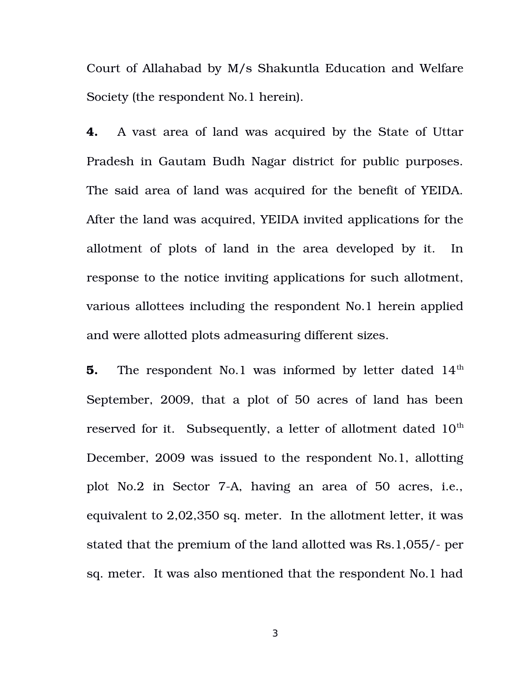Court of Allahabad by M/s Shakuntla Education and Welfare Society (the respondent No.1 herein).

**4.** A vast area of land was acquired by the State of Uttar Pradesh in Gautam Budh Nagar district for public purposes. The said area of land was acquired for the benefit of YEIDA. After the land was acquired, YEIDA invited applications for the allotment of plots of land in the area developed by it. In response to the notice inviting applications for such allotment, various allottees including the respondent No.1 herein applied and were allotted plots admeasuring different sizes.

**5.** The respondent No.1 was informed by letter dated 14<sup>th</sup> September, 2009, that a plot of 50 acres of land has been reserved for it. Subsequently, a letter of allotment dated  $10<sup>th</sup>$ December, 2009 was issued to the respondent No.1, allotting plot No.2 in Sector 7-A, having an area of 50 acres, i.e., equivalent to 2,02,350 sq. meter. In the allotment letter, it was stated that the premium of the land allotted was Rs.1,055/- per sq. meter. It was also mentioned that the respondent No.1 had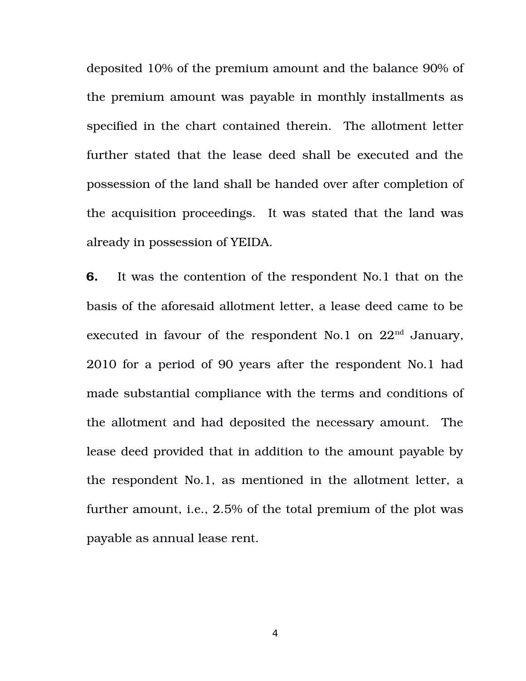deposited 10% of the premium amount and the balance 90% of the premium amount was payable in monthly installments as specified in the chart contained therein. The allotment letter further stated that the lease deed shall be executed and the possession of the land shall be handed over after completion of the acquisition proceedings. It was stated that the land was already in possession of YEIDA.

**6.** It was the contention of the respondent No.1 that on the basis of the aforesaid allotment letter, a lease deed came to be executed in favour of the respondent No.1 on  $22<sup>nd</sup>$  January, 2010 for a period of 90 years after the respondent No.1 had made substantial compliance with the terms and conditions of the allotment and had deposited the necessary amount. The lease deed provided that in addition to the amount payable by the respondent No.1, as mentioned in the allotment letter, a further amount, i.e., 2.5% of the total premium of the plot was payable as annual lease rent.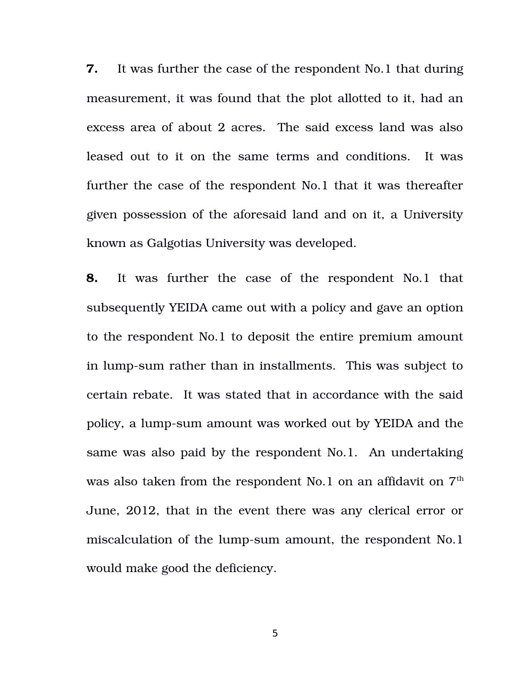**7.** It was further the case of the respondent No.1 that during measurement, it was found that the plot allotted to it, had an excess area of about 2 acres. The said excess land was also leased out to it on the same terms and conditions. It was further the case of the respondent No.1 that it was thereafter given possession of the aforesaid land and on it, a University known as Galgotias University was developed.

**8.** It was further the case of the respondent No.1 that subsequently YEIDA came out with a policy and gave an option to the respondent No.1 to deposit the entire premium amount in lump-sum rather than in installments. This was subject to certain rebate. It was stated that in accordance with the said policy, a lump-sum amount was worked out by YEIDA and the same was also paid by the respondent No.1. An undertaking was also taken from the respondent No.1 on an affidavit on  $7<sup>th</sup>$ June, 2012, that in the event there was any clerical error or miscalculation of the lump-sum amount, the respondent No.1 would make good the deficiency.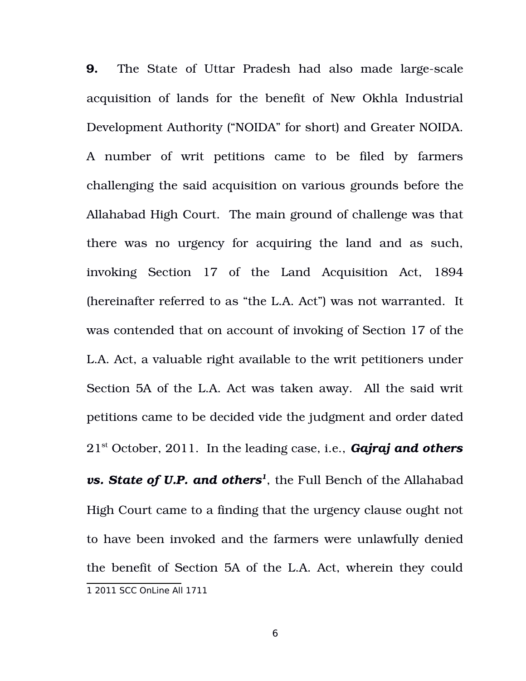<span id="page-5-0"></span>**9.** The State of Uttar Pradesh had also made large-scale acquisition of lands for the benefit of New Okhla Industrial Development Authority ("NOIDA" for short) and Greater NOIDA. A number of writ petitions came to be filed by farmers challenging the said acquisition on various grounds before the Allahabad High Court. The main ground of challenge was that there was no urgency for acquiring the land and as such, invoking Section 17 of the Land Acquisition Act, 1894 (hereinafter referred to as "the L.A. Act") was not warranted. It was contended that on account of invoking of Section 17 of the L.A. Act, a valuable right available to the writ petitioners under Section 5A of the L.A. Act was taken away. All the said writ petitions came to be decided vide the judgment and order dated 21st October, 2011. In the leading case, i.e., *Gajraj and others vs. State of U.P. and others[1](#page-5-0)* , the Full Bench of the Allahabad High Court came to a finding that the urgency clause ought not to have been invoked and the farmers were unlawfully denied the benefit of Section 5A of the L.A. Act, wherein they could 1 2011 SCC OnLine All 1711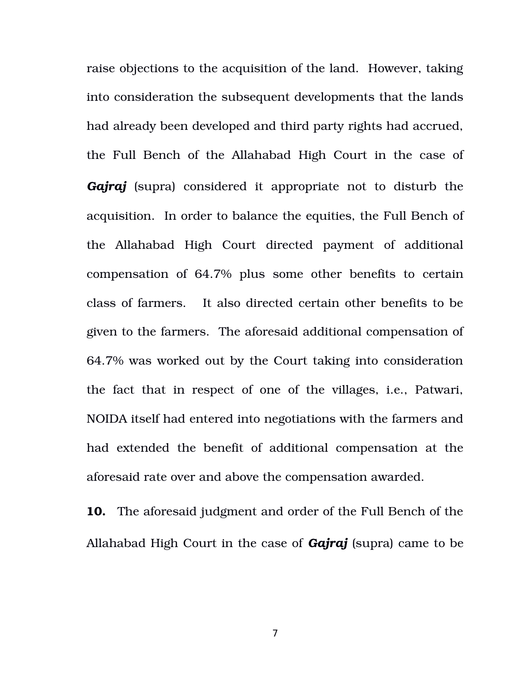raise objections to the acquisition of the land. However, taking into consideration the subsequent developments that the lands had already been developed and third party rights had accrued, the Full Bench of the Allahabad High Court in the case of *Gajraj* (supra) considered it appropriate not to disturb the acquisition. In order to balance the equities, the Full Bench of the Allahabad High Court directed payment of additional compensation of 64.7% plus some other benefits to certain class of farmers. It also directed certain other benefits to be given to the farmers. The aforesaid additional compensation of 64.7% was worked out by the Court taking into consideration the fact that in respect of one of the villages, i.e., Patwari, NOIDA itself had entered into negotiations with the farmers and had extended the benefit of additional compensation at the aforesaid rate over and above the compensation awarded.

**10.** The aforesaid judgment and order of the Full Bench of the Allahabad High Court in the case of *Gajraj* (supra) came to be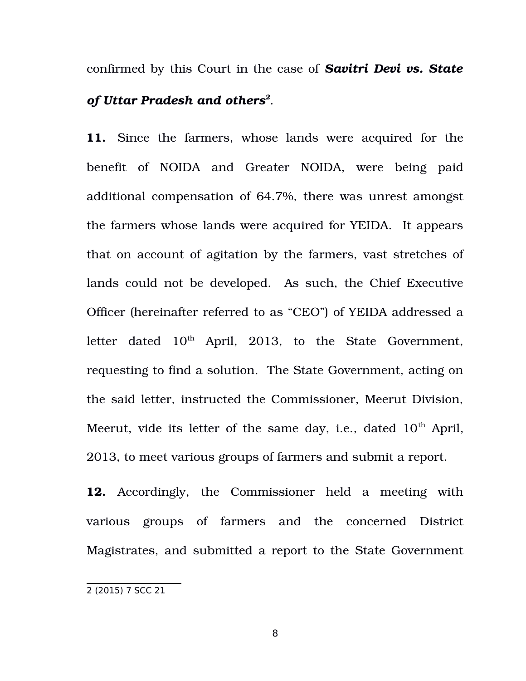confirmed by this Court in the case of *Savitri Devi vs. State of Uttar Pradesh and others[2](#page-7-0)* .

11. Since the farmers, whose lands were acquired for the benefit of NOIDA and Greater NOIDA, were being paid additional compensation of 64.7%, there was unrest amongst the farmers whose lands were acquired for YEIDA. It appears that on account of agitation by the farmers, vast stretches of lands could not be developed. As such, the Chief Executive Officer (hereinafter referred to as "CEO") of YEIDA addressed a letter dated 10<sup>th</sup> April, 2013, to the State Government, requesting to find a solution. The State Government, acting on the said letter, instructed the Commissioner, Meerut Division, Meerut, vide its letter of the same day, i.e., dated  $10<sup>th</sup>$  April, 2013, to meet various groups of farmers and submit a report.

**12.** Accordingly, the Commissioner held a meeting with various groups of farmers and the concerned District Magistrates, and submitted a report to the State Government

<span id="page-7-0"></span><sup>2</sup> (2015) 7 SCC 21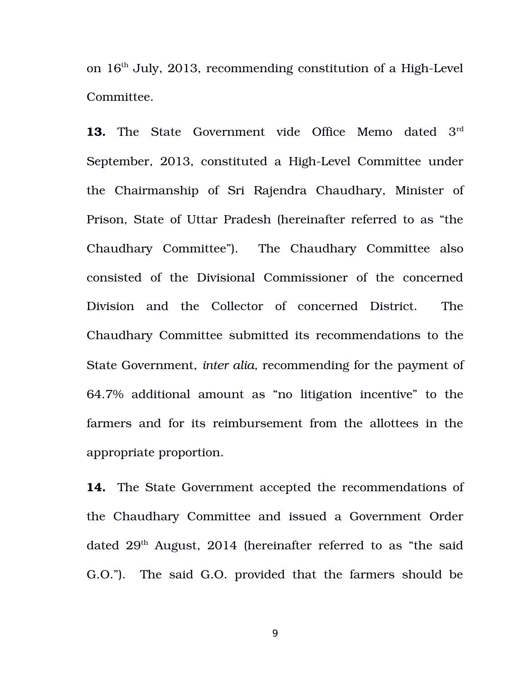on  $16<sup>th</sup>$  July, 2013, recommending constitution of a High-Level Committee.

**13.** The State Government vide Office Memo dated 3<sup>rd</sup> September, 2013, constituted a High-Level Committee under the Chairmanship of Sri Rajendra Chaudhary, Minister of Prison, State of Uttar Pradesh (hereinafter referred to as "the Chaudhary Committee"). The Chaudhary Committee also consisted of the Divisional Commissioner of the concerned Division and the Collector of concerned District. The Chaudhary Committee submitted its recommendations to the State Government, *inter alia,* recommending for the payment of 64.7% additional amount as "no litigation incentive" to the farmers and for its reimbursement from the allottees in the appropriate proportion.

**14.** The State Government accepted the recommendations of the Chaudhary Committee and issued a Government Order dated  $29<sup>th</sup>$  August, 2014 (hereinafter referred to as "the said G.O."). The said G.O. provided that the farmers should be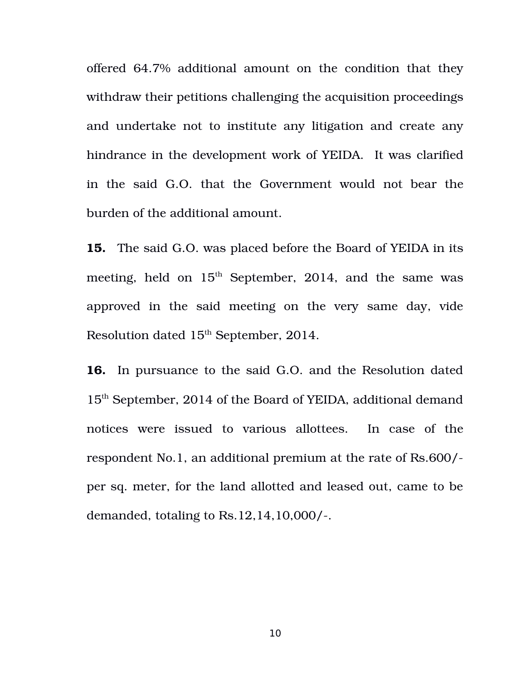offered 64.7% additional amount on the condition that they withdraw their petitions challenging the acquisition proceedings and undertake not to institute any litigation and create any hindrance in the development work of YEIDA. It was clarified in the said G.O. that the Government would not bear the burden of the additional amount.

**15.** The said G.O. was placed before the Board of YEIDA in its meeting, held on  $15<sup>th</sup>$  September, 2014, and the same was approved in the said meeting on the very same day, vide Resolution dated  $15<sup>th</sup>$  September, 2014.

**16.** In pursuance to the said G.O. and the Resolution dated 15th September, 2014 of the Board of YEIDA, additional demand notices were issued to various allottees. In case of the respondent No.1, an additional premium at the rate of Rs.600/ per sq. meter, for the land allotted and leased out, came to be demanded, totaling to Rs.12,14,10,000/.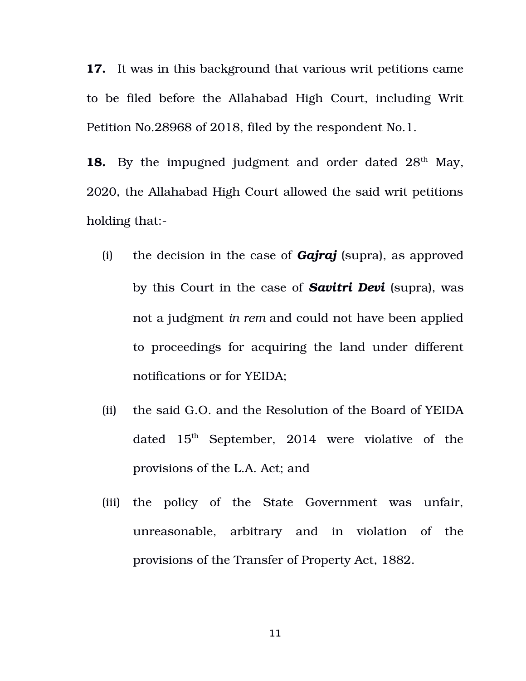**17.** It was in this background that various writ petitions came to be filed before the Allahabad High Court, including Writ Petition No.28968 of 2018, filed by the respondent No.1.

**18.** By the impugned judgment and order dated 28<sup>th</sup> May, 2020, the Allahabad High Court allowed the said writ petitions holding that:

- (i) the decision in the case of *Gajraj* (supra), as approved by this Court in the case of **Savitri Devi** (supra), was not a judgment *in rem* and could not have been applied to proceedings for acquiring the land under different notifications or for YEIDA;
- (ii) the said G.O. and the Resolution of the Board of YEIDA dated  $15<sup>th</sup>$  September, 2014 were violative of the provisions of the L.A. Act; and
- (iii) the policy of the State Government was unfair, unreasonable, arbitrary and in violation of the provisions of the Transfer of Property Act, 1882.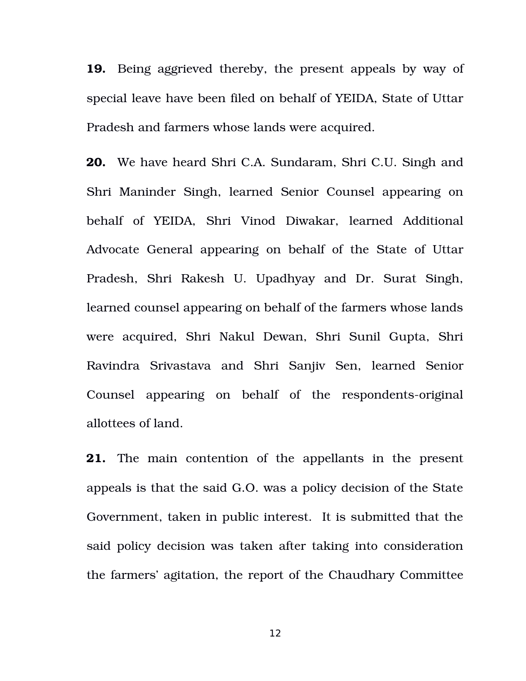**19.** Being aggrieved thereby, the present appeals by way of special leave have been filed on behalf of YEIDA, State of Uttar Pradesh and farmers whose lands were acquired.

**20.** We have heard Shri C.A. Sundaram, Shri C.U. Singh and Shri Maninder Singh, learned Senior Counsel appearing on behalf of YEIDA, Shri Vinod Diwakar, learned Additional Advocate General appearing on behalf of the State of Uttar Pradesh, Shri Rakesh U. Upadhyay and Dr. Surat Singh, learned counsel appearing on behalf of the farmers whose lands were acquired, Shri Nakul Dewan, Shri Sunil Gupta, Shri Ravindra Srivastava and Shri Sanjiv Sen, learned Senior Counsel appearing on behalf of the respondents-original allottees of land.

**21.** The main contention of the appellants in the present appeals is that the said G.O. was a policy decision of the State Government, taken in public interest. It is submitted that the said policy decision was taken after taking into consideration the farmers' agitation, the report of the Chaudhary Committee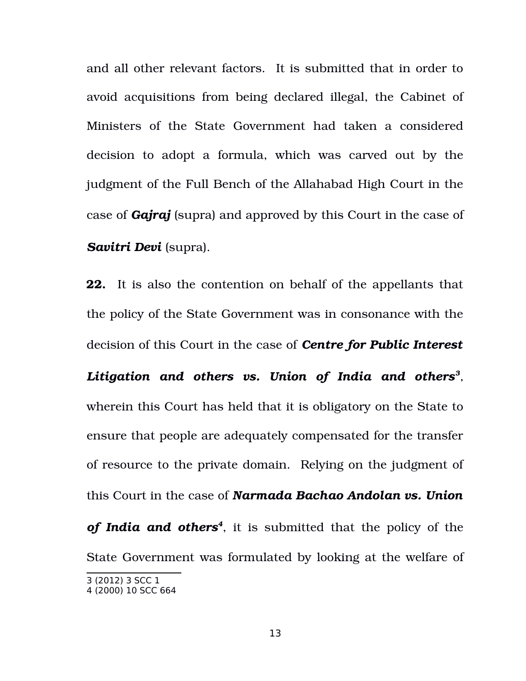and all other relevant factors. It is submitted that in order to avoid acquisitions from being declared illegal, the Cabinet of Ministers of the State Government had taken a considered decision to adopt a formula, which was carved out by the judgment of the Full Bench of the Allahabad High Court in the case of *Gajraj* (supra) and approved by this Court in the case of *Savitri Devi* (supra).

**22.** It is also the contention on behalf of the appellants that the policy of the State Government was in consonance with the decision of this Court in the case of *Centre for Public Interest*

*Litigation and others vs. Union of India and others[3](#page-12-0)* , wherein this Court has held that it is obligatory on the State to ensure that people are adequately compensated for the transfer of resource to the private domain. Relying on the judgment of this Court in the case of *Narmada Bachao Andolan vs. Union of India and others[4](#page-12-1)* , it is submitted that the policy of the State Government was formulated by looking at the welfare of

<span id="page-12-0"></span><sup>3</sup> (2012) 3 SCC 1

<span id="page-12-1"></span><sup>4</sup> (2000) 10 SCC 664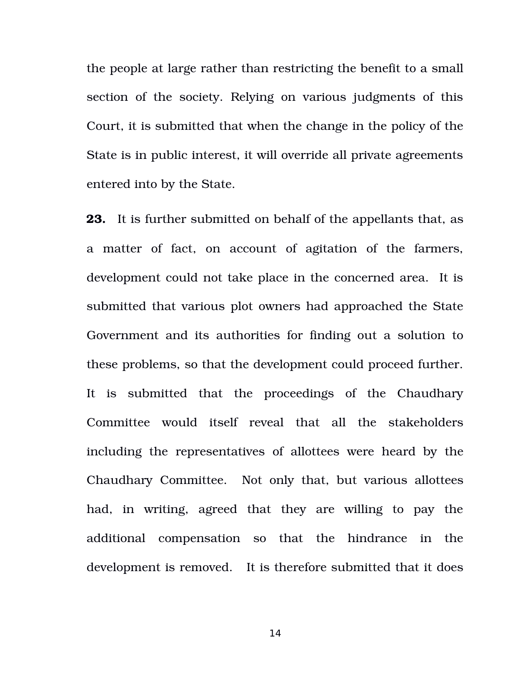the people at large rather than restricting the benefit to a small section of the society. Relying on various judgments of this Court, it is submitted that when the change in the policy of the State is in public interest, it will override all private agreements entered into by the State.

**23.** It is further submitted on behalf of the appellants that, as a matter of fact, on account of agitation of the farmers, development could not take place in the concerned area. It is submitted that various plot owners had approached the State Government and its authorities for finding out a solution to these problems, so that the development could proceed further. It is submitted that the proceedings of the Chaudhary Committee would itself reveal that all the stakeholders including the representatives of allottees were heard by the Chaudhary Committee. Not only that, but various allottees had, in writing, agreed that they are willing to pay the additional compensation so that the hindrance in the development is removed. It is therefore submitted that it does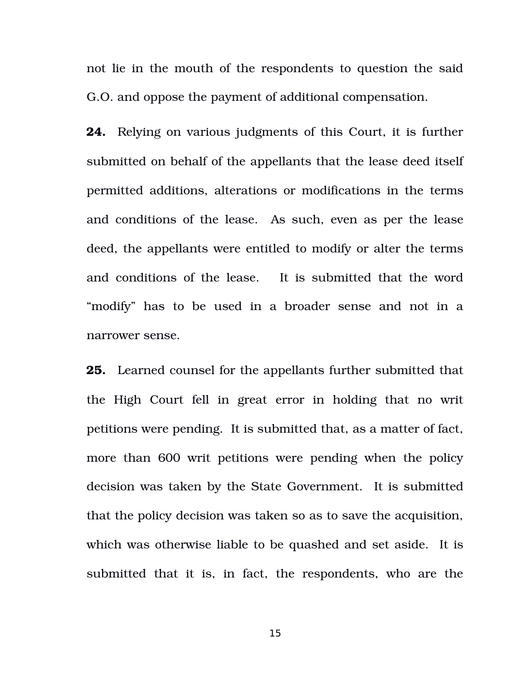not lie in the mouth of the respondents to question the said G.O. and oppose the payment of additional compensation.

**24.** Relying on various judgments of this Court, it is further submitted on behalf of the appellants that the lease deed itself permitted additions, alterations or modifications in the terms and conditions of the lease. As such, even as per the lease deed, the appellants were entitled to modify or alter the terms and conditions of the lease. It is submitted that the word "modify" has to be used in a broader sense and not in a narrower sense.

**25.** Learned counsel for the appellants further submitted that the High Court fell in great error in holding that no writ petitions were pending. It is submitted that, as a matter of fact, more than 600 writ petitions were pending when the policy decision was taken by the State Government. It is submitted that the policy decision was taken so as to save the acquisition, which was otherwise liable to be quashed and set aside. It is submitted that it is, in fact, the respondents, who are the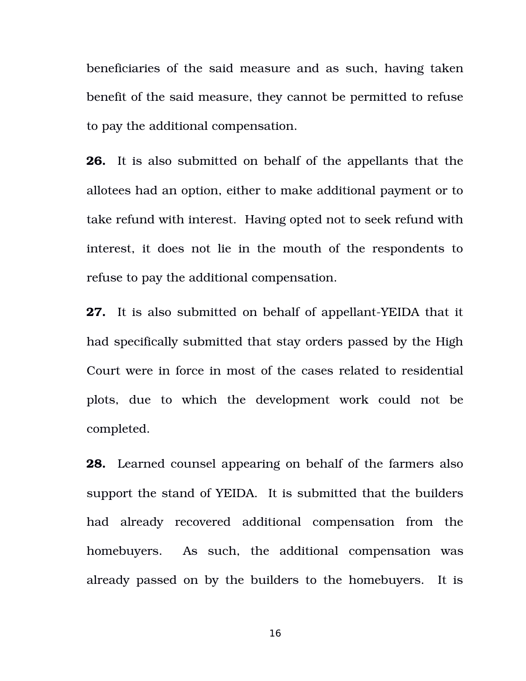beneficiaries of the said measure and as such, having taken benefit of the said measure, they cannot be permitted to refuse to pay the additional compensation.

**26.** It is also submitted on behalf of the appellants that the allotees had an option, either to make additional payment or to take refund with interest. Having opted not to seek refund with interest, it does not lie in the mouth of the respondents to refuse to pay the additional compensation.

**27.** It is also submitted on behalf of appellant-YEIDA that it had specifically submitted that stay orders passed by the High Court were in force in most of the cases related to residential plots, due to which the development work could not be completed.

**28.** Learned counsel appearing on behalf of the farmers also support the stand of YEIDA. It is submitted that the builders had already recovered additional compensation from the homebuyers. As such, the additional compensation was already passed on by the builders to the homebuyers. It is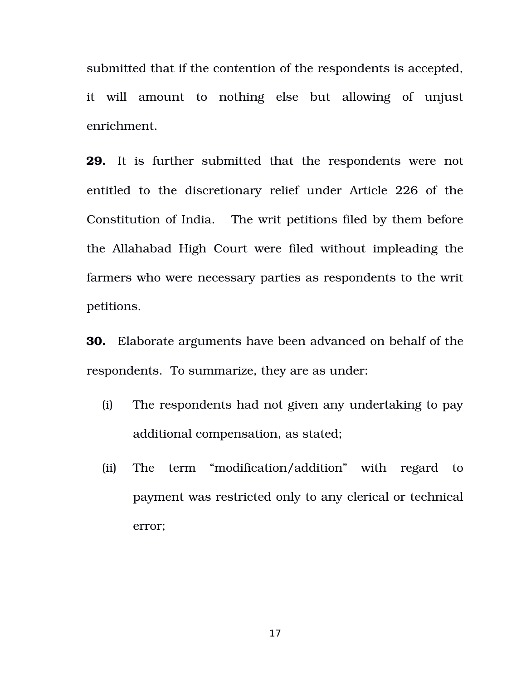submitted that if the contention of the respondents is accepted, it will amount to nothing else but allowing of unjust enrichment.

**29.** It is further submitted that the respondents were not entitled to the discretionary relief under Article 226 of the Constitution of India. The writ petitions filed by them before the Allahabad High Court were filed without impleading the farmers who were necessary parties as respondents to the writ petitions.

**30.** Elaborate arguments have been advanced on behalf of the respondents. To summarize, they are as under:

- (i) The respondents had not given any undertaking to pay additional compensation, as stated;
- (ii) The term "modification/addition" with regard to payment was restricted only to any clerical or technical error;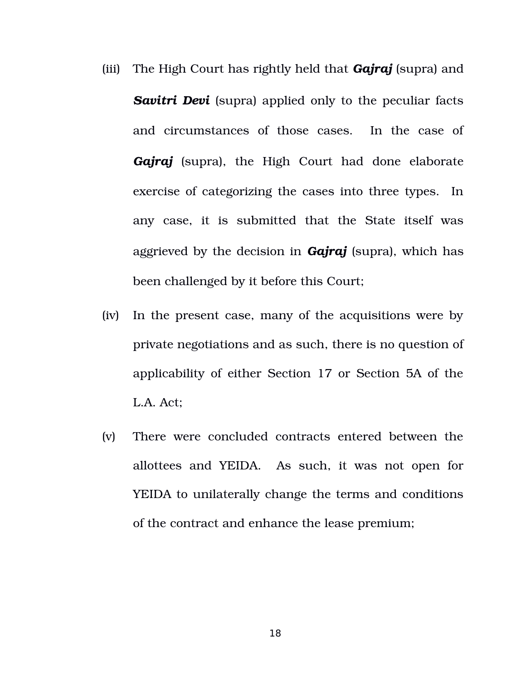- (iii) The High Court has rightly held that *Gajraj* (supra) and **Savitri Devi** (supra) applied only to the peculiar facts and circumstances of those cases. In the case of Gajraj (supra), the High Court had done elaborate exercise of categorizing the cases into three types. In any case, it is submitted that the State itself was aggrieved by the decision in *Gajraj* (supra), which has been challenged by it before this Court;
- (iv) In the present case, many of the acquisitions were by private negotiations and as such, there is no question of applicability of either Section 17 or Section 5A of the L.A. Act;
- (v) There were concluded contracts entered between the allottees and YEIDA. As such, it was not open for YEIDA to unilaterally change the terms and conditions of the contract and enhance the lease premium;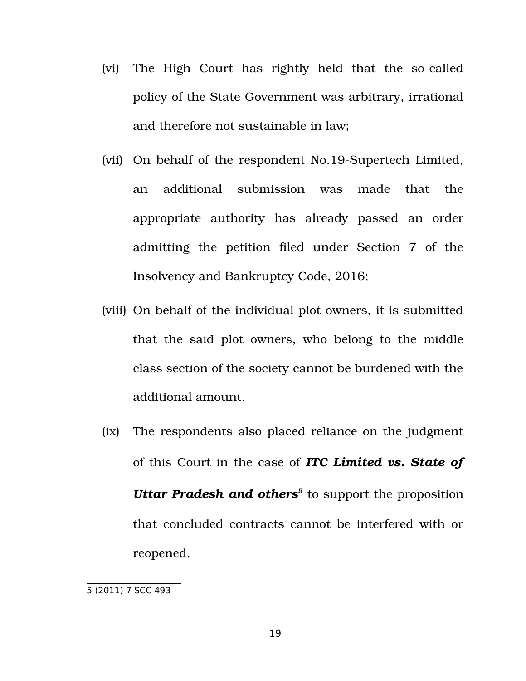- (vi) The High Court has rightly held that the so-called policy of the State Government was arbitrary, irrational and therefore not sustainable in law;
- (vii) On behalf of the respondent No.19-Supertech Limited, an additional submission was made that the appropriate authority has already passed an order admitting the petition filed under Section 7 of the Insolvency and Bankruptcy Code, 2016;
- (viii) On behalf of the individual plot owners, it is submitted that the said plot owners, who belong to the middle class section of the society cannot be burdened with the additional amount.
- (ix) The respondents also placed reliance on the judgment of this Court in the case of *ITC Limited vs. State of* Uttar Pradesh and others<sup>[5](#page-18-0)</sup> to support the proposition that concluded contracts cannot be interfered with or reopened.

<span id="page-18-0"></span><sup>5 (2011) 7</sup> SCC 493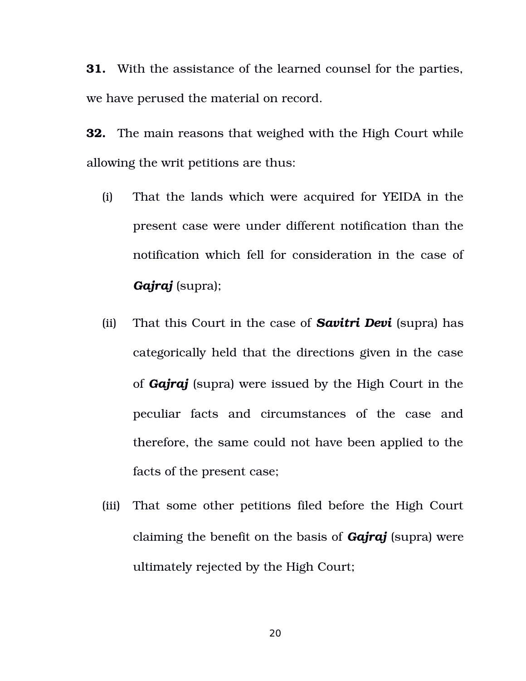**31.** With the assistance of the learned counsel for the parties, we have perused the material on record.

**32.** The main reasons that weighed with the High Court while allowing the writ petitions are thus:

- (i) That the lands which were acquired for YEIDA in the present case were under different notification than the notification which fell for consideration in the case of *Gajraj* (supra);
- (ii) That this Court in the case of *Savitri Devi* (supra) has categorically held that the directions given in the case of *Gajraj* (supra) were issued by the High Court in the peculiar facts and circumstances of the case and therefore, the same could not have been applied to the facts of the present case;
- (iii) That some other petitions filed before the High Court claiming the benefit on the basis of *Gajraj* (supra) were ultimately rejected by the High Court;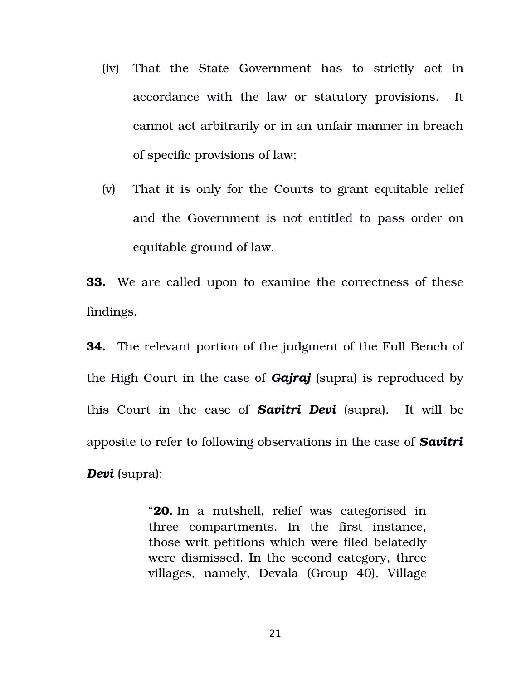- (iv) That the State Government has to strictly act in accordance with the law or statutory provisions. It cannot act arbitrarily or in an unfair manner in breach of specific provisions of law;
- (v) That it is only for the Courts to grant equitable relief and the Government is not entitled to pass order on equitable ground of law.

**33.** We are called upon to examine the correctness of these findings.

**34.** The relevant portion of the judgment of the Full Bench of the High Court in the case of *Gajraj* (supra) is reproduced by this Court in the case of **Savitri Devi** (supra). It will be apposite to refer to following observations in the case of *Savitri Devi* (supra):

> "**20.** In a nutshell, relief was categorised in three compartments. In the first instance, those writ petitions which were filed belatedly were dismissed. In the second category, three villages, namely, Devala (Group 40), Village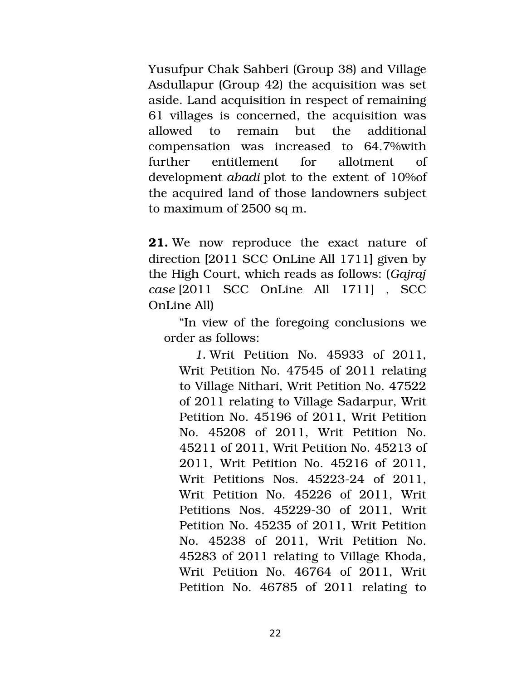Yusufpur Chak Sahberi (Group 38) and Village Asdullapur (Group 42) the acquisition was set aside. Land acquisition in respect of remaining 61 villages is concerned, the acquisition was allowed to remain but the additional compensation was increased to 64.7%with further entitlement for allotment of development *abadi* plot to the extent of 10%of the acquired land of those landowners subject to maximum of 2500 sq m.

**21.** We now reproduce the exact nature of direction [2011 SCC OnLine All 1711] given by the High Court, which reads as follows: (*Gajraj case* [2011 SCC OnLine All 1711] , SCC OnLine All)

"In view of the foregoing conclusions we order as follows:

*1.* Writ Petition No. 45933 of 2011, Writ Petition No. 47545 of 2011 relating to Village Nithari, Writ Petition No. 47522 of 2011 relating to Village Sadarpur, Writ Petition No. 45196 of 2011, Writ Petition No. 45208 of 2011, Writ Petition No. 45211 of 2011, Writ Petition No. 45213 of 2011, Writ Petition No. 45216 of 2011, Writ Petitions Nos. 45223-24 of 2011. Writ Petition No. 45226 of 2011, Writ Petitions Nos. 45229-30 of 2011, Writ Petition No. 45235 of 2011, Writ Petition No. 45238 of 2011, Writ Petition No. 45283 of 2011 relating to Village Khoda, Writ Petition No. 46764 of 2011, Writ Petition No. 46785 of 2011 relating to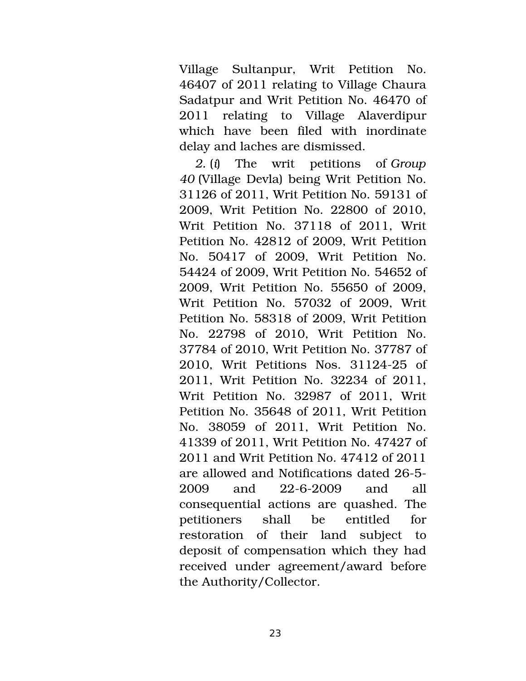Village Sultanpur, Writ Petition No. 46407 of 2011 relating to Village Chaura Sadatpur and Writ Petition No. 46470 of 2011 relating to Village Alaverdipur which have been filed with inordinate delay and laches are dismissed.

*2.* (*i*) The writ petitions of *Group 40* (Village Devla) being Writ Petition No. 31126 of 2011, Writ Petition No. 59131 of 2009, Writ Petition No. 22800 of 2010, Writ Petition No. 37118 of 2011, Writ Petition No. 42812 of 2009, Writ Petition No. 50417 of 2009, Writ Petition No. 54424 of 2009, Writ Petition No. 54652 of 2009, Writ Petition No. 55650 of 2009, Writ Petition No. 57032 of 2009, Writ Petition No. 58318 of 2009, Writ Petition No. 22798 of 2010, Writ Petition No. 37784 of 2010, Writ Petition No. 37787 of 2010, Writ Petitions Nos. 31124-25 of 2011, Writ Petition No. 32234 of 2011, Writ Petition No. 32987 of 2011, Writ Petition No. 35648 of 2011, Writ Petition No. 38059 of 2011, Writ Petition No. 41339 of 2011, Writ Petition No. 47427 of 2011 and Writ Petition No. 47412 of 2011 are allowed and Notifications dated 26-5- $2009$  and  $22-6-2009$  and all consequential actions are quashed. The petitioners shall be entitled for restoration of their land subject to deposit of compensation which they had received under agreement/award before the Authority/Collector.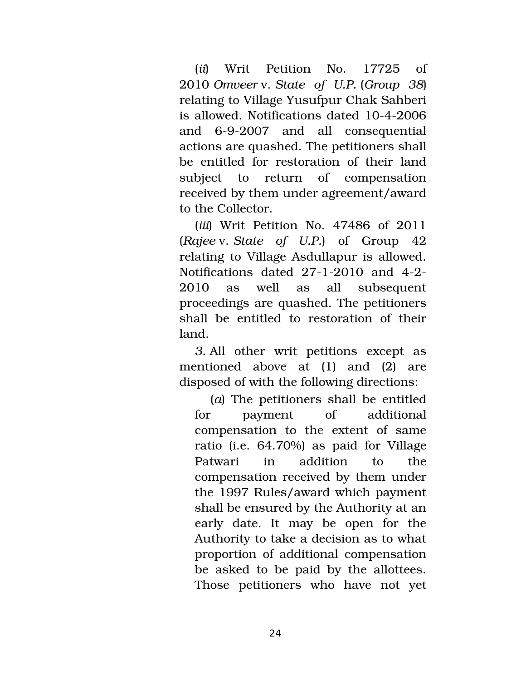(*ii*) Writ Petition No. 17725 of 2010 *Omveer* v. *State of U.P.* (*Group 38*) relating to Village Yusufpur Chak Sahberi is allowed. Notifications dated 10-4-2006 and 6-9-2007 and all consequential actions are quashed. The petitioners shall be entitled for restoration of their land subject to return of compensation received by them under agreement/award to the Collector.

(*iii*) Writ Petition No. 47486 of 2011 (*Rajee* v. *State of U.P.*) of Group 42 relating to Village Asdullapur is allowed. Notifications dated  $27-1-2010$  and  $4-2-$ 2010 as well as all subsequent proceedings are quashed. The petitioners shall be entitled to restoration of their land.

*3.* All other writ petitions except as mentioned above at (1) and (2) are disposed of with the following directions:

(*a*) The petitioners shall be entitled for payment of additional compensation to the extent of same ratio (i.e. 64.70%) as paid for Village Patwari in addition to the compensation received by them under the 1997 Rules/award which payment shall be ensured by the Authority at an early date. It may be open for the Authority to take a decision as to what proportion of additional compensation be asked to be paid by the allottees. Those petitioners who have not yet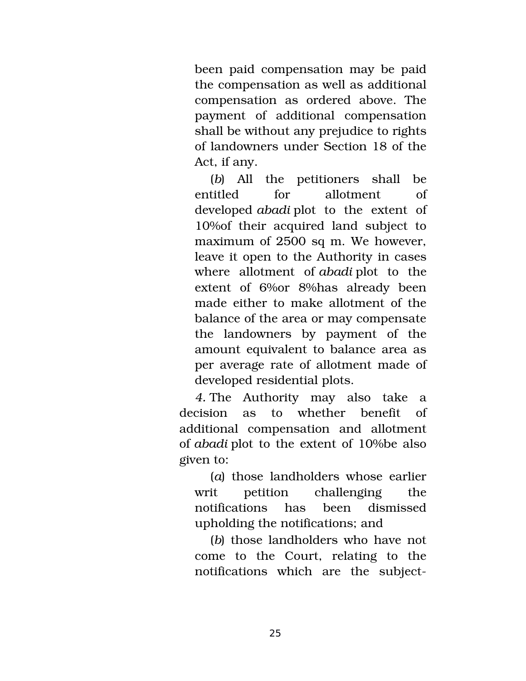been paid compensation may be paid the compensation as well as additional compensation as ordered above. The payment of additional compensation shall be without any prejudice to rights of landowners under Section 18 of the Act, if any.

(*b*) All the petitioners shall be entitled for allotment of developed *abadi* plot to the extent of 10%of their acquired land subject to maximum of 2500 sq m. We however, leave it open to the Authority in cases where allotment of *abadi* plot to the extent of 6% or 8% has already been made either to make allotment of the balance of the area or may compensate the landowners by payment of the amount equivalent to balance area as per average rate of allotment made of developed residential plots.

*4.* The Authority may also take a decision as to whether benefit of additional compensation and allotment of *abadi* plot to the extent of 10%be also given to:

(*a*) those landholders whose earlier writ petition challenging the notifications has been dismissed upholding the notifications; and

(*b*) those landholders who have not come to the Court, relating to the notifications which are the subject-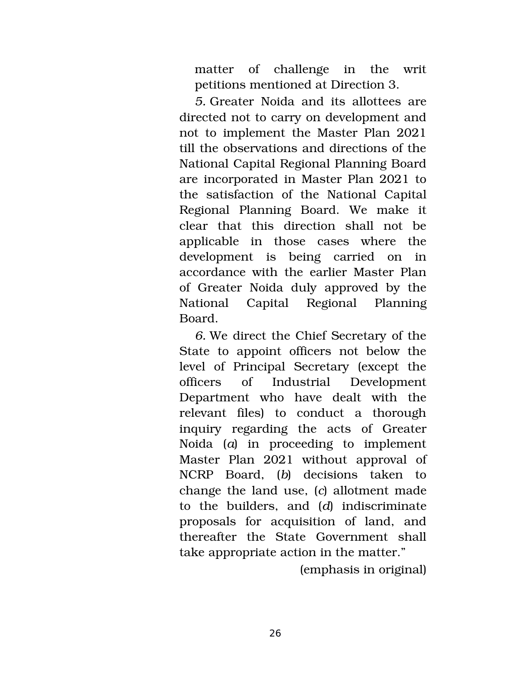matter of challenge in the writ petitions mentioned at Direction 3.

*5.* Greater Noida and its allottees are directed not to carry on development and not to implement the Master Plan 2021 till the observations and directions of the National Capital Regional Planning Board are incorporated in Master Plan 2021 to the satisfaction of the National Capital Regional Planning Board. We make it clear that this direction shall not be applicable in those cases where the development is being carried on in accordance with the earlier Master Plan of Greater Noida duly approved by the National Capital Regional Planning Board.

*6.* We direct the Chief Secretary of the State to appoint officers not below the level of Principal Secretary (except the officers of Industrial Development Department who have dealt with the relevant files) to conduct a thorough inquiry regarding the acts of Greater Noida (*a*) in proceeding to implement Master Plan 2021 without approval of NCRP Board, (*b*) decisions taken to change the land use, (*c*) allotment made to the builders, and (*d*) indiscriminate proposals for acquisition of land, and thereafter the State Government shall take appropriate action in the matter."

(emphasis in original)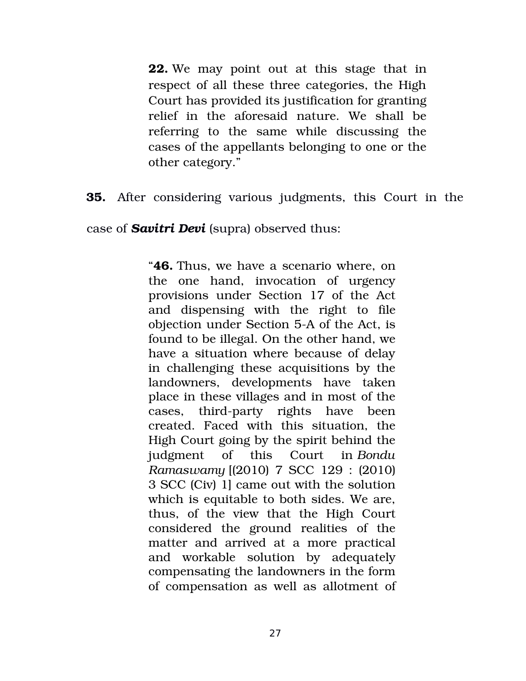**22.** We may point out at this stage that in respect of all these three categories, the High Court has provided its justification for granting relief in the aforesaid nature. We shall be referring to the same while discussing the cases of the appellants belonging to one or the other category."

**35.** After considering various judgments, this Court in the

case of *Savitri Devi* (supra) observed thus:

"**46.** Thus, we have a scenario where, on the one hand, invocation of urgency provisions under Section 17 of the Act and dispensing with the right to file objection under Section 5-A of the Act, is found to be illegal. On the other hand, we have a situation where because of delay in challenging these acquisitions by the landowners, developments have taken place in these villages and in most of the cases, third-party rights have been created. Faced with this situation, the High Court going by the spirit behind the judgment of this Court in *Bondu Ramaswamy* [(2010) 7 SCC 129 : (2010) 3 SCC (Civ) 1] came out with the solution which is equitable to both sides. We are, thus, of the view that the High Court considered the ground realities of the matter and arrived at a more practical and workable solution by adequately compensating the landowners in the form of compensation as well as allotment of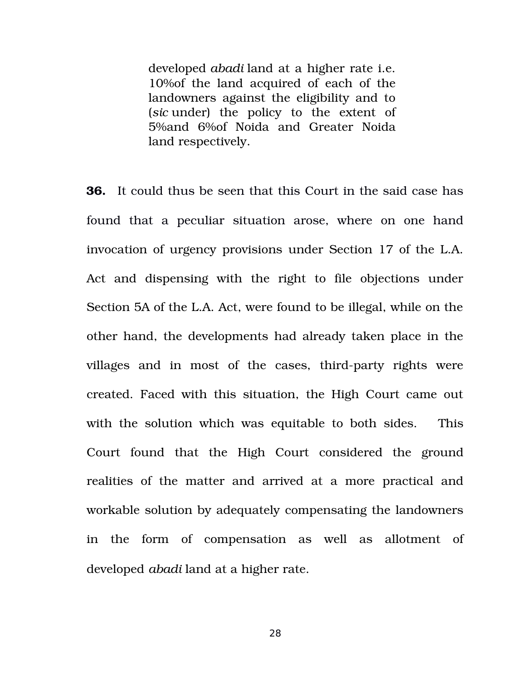developed *abadi* land at a higher rate i.e. 10%of the land acquired of each of the landowners against the eligibility and to (sic under) the policy to the extent of 5%and 6%of Noida and Greater Noida land respectively.

**36.** It could thus be seen that this Court in the said case has found that a peculiar situation arose, where on one hand invocation of urgency provisions under Section 17 of the L.A. Act and dispensing with the right to file objections under Section 5A of the L.A. Act, were found to be illegal, while on the other hand, the developments had already taken place in the villages and in most of the cases, third-party rights were created. Faced with this situation, the High Court came out with the solution which was equitable to both sides. This Court found that the High Court considered the ground realities of the matter and arrived at a more practical and workable solution by adequately compensating the landowners in the form of compensation as well as allotment of developed *abadi* land at a higher rate.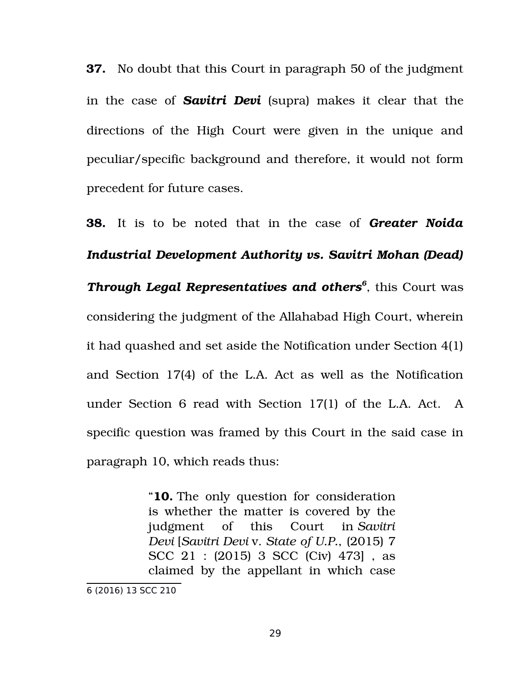**37.** No doubt that this Court in paragraph 50 of the judgment in the case of *Savitri Devi* (supra) makes it clear that the directions of the High Court were given in the unique and peculiar/specific background and therefore, it would not form precedent for future cases.

**38.** It is to be noted that in the case of *Greater Noida Industrial Development Authority vs. Savitri Mohan (Dead) Through Legal Representatives and others[6](#page-28-0)* , this Court was considering the judgment of the Allahabad High Court, wherein it had quashed and set aside the Notification under Section 4(1) and Section 17(4) of the L.A. Act as well as the Notification under Section 6 read with Section 17(1) of the L.A. Act. A specific question was framed by this Court in the said case in paragraph 10, which reads thus:

> "**10.** The only question for consideration is whether the matter is covered by the judgment of this Court in *Savitri Devi* [*Savitri Devi* v. *State of U.P.*, (2015) 7 SCC 21 : (2015) 3 SCC (Civ) 473] , as claimed by the appellant in which case

<span id="page-28-0"></span><sup>6</sup> (2016) 13 SCC 210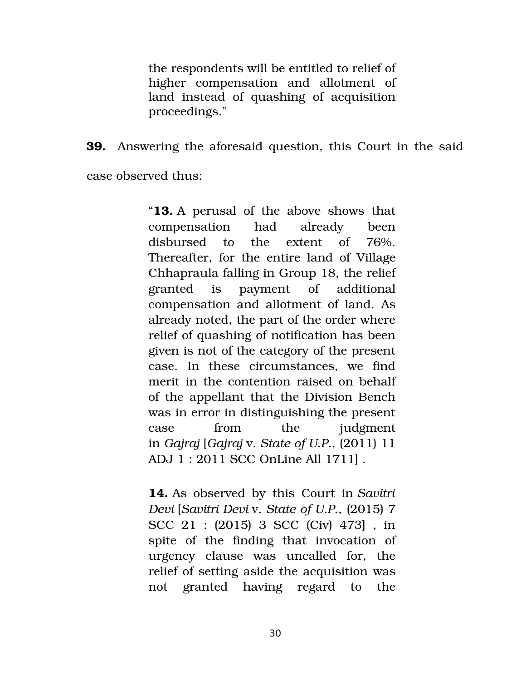the respondents will be entitled to relief of higher compensation and allotment of land instead of quashing of acquisition proceedings."

**39.** Answering the aforesaid question, this Court in the said

case observed thus:

"**13.** A perusal of the above shows that compensation had already been disbursed to the extent of 76%. Thereafter, for the entire land of Village Chhapraula falling in Group 18, the relief granted is payment of additional compensation and allotment of land. As already noted, the part of the order where relief of quashing of notification has been given is not of the category of the present case. In these circumstances, we find merit in the contention raised on behalf of the appellant that the Division Bench was in error in distinguishing the present case from the judgment in *Gajraj* [*Gajraj* v. *State of U.P.*, (2011) 11 ADJ 1 : 2011 SCC OnLine All 1711] .

**14.** As observed by this Court in *Savitri Devi* [*Savitri Devi* v. *State of U.P.*, (2015) 7 SCC 21 : (2015) 3 SCC (Civ) 473] , in spite of the finding that invocation of urgency clause was uncalled for, the relief of setting aside the acquisition was not granted having regard to the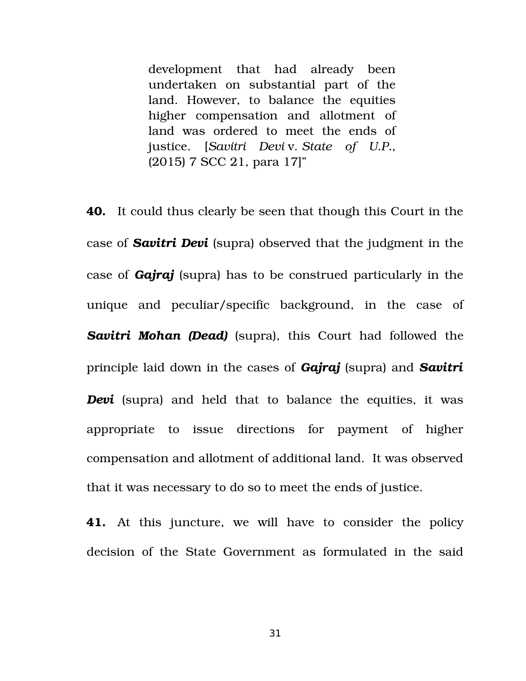development that had already been undertaken on substantial part of the land. However, to balance the equities higher compensation and allotment of land was ordered to meet the ends of justice. [*Savitri Devi* v. *State of U.P.*, (2015) 7 SCC 21, para 17]"

**40.** It could thus clearly be seen that though this Court in the case of *Savitri Devi* (supra) observed that the judgment in the case of *Gajraj* (supra) has to be construed particularly in the unique and peculiar/specific background, in the case of **Savitri Mohan (Dead)** (supra), this Court had followed the principle laid down in the cases of *Gajraj* (supra) and *Savitri Devi* (supra) and held that to balance the equities, it was appropriate to issue directions for payment of higher compensation and allotment of additional land. It was observed that it was necessary to do so to meet the ends of justice.

**41.** At this juncture, we will have to consider the policy decision of the State Government as formulated in the said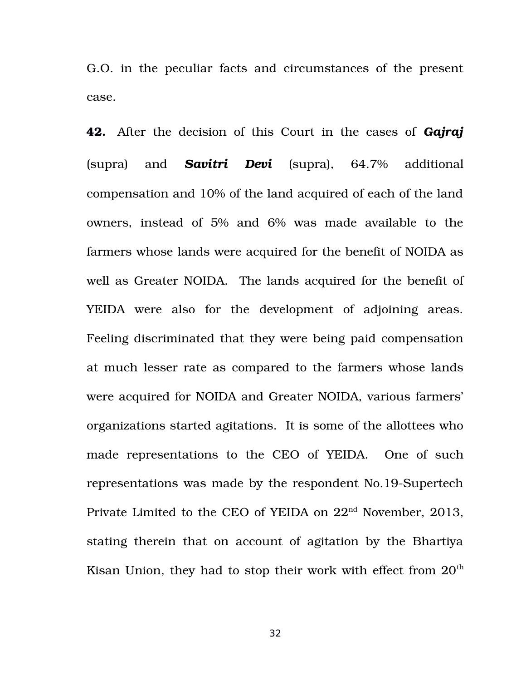G.O. in the peculiar facts and circumstances of the present case.

**42.** After the decision of this Court in the cases of *Gajraj* (supra) and *Savitri Devi* (supra), 64.7% additional compensation and 10% of the land acquired of each of the land owners, instead of 5% and 6% was made available to the farmers whose lands were acquired for the benefit of NOIDA as well as Greater NOIDA. The lands acquired for the benefit of YEIDA were also for the development of adjoining areas. Feeling discriminated that they were being paid compensation at much lesser rate as compared to the farmers whose lands were acquired for NOIDA and Greater NOIDA, various farmers' organizations started agitations. It is some of the allottees who made representations to the CEO of YEIDA. One of such representations was made by the respondent No.19-Supertech Private Limited to the CEO of YEIDA on  $22<sup>nd</sup>$  November, 2013, stating therein that on account of agitation by the Bhartiya Kisan Union, they had to stop their work with effect from  $20<sup>th</sup>$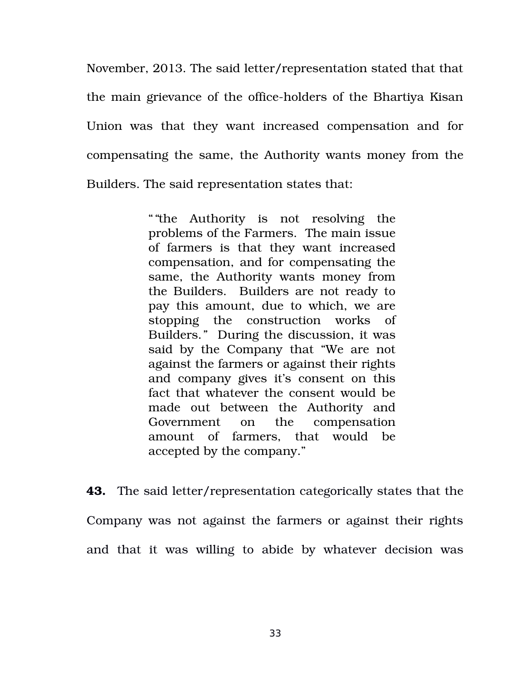November, 2013. The said letter/representation stated that that the main grievance of the office-holders of the Bhartiya Kisan Union was that they want increased compensation and for compensating the same, the Authority wants money from the Builders. The said representation states that:

> "*"*the Authority is not resolving the problems of the Farmers. The main issue of farmers is that they want increased compensation, and for compensating the same, the Authority wants money from the Builders. Builders are not ready to pay this amount, due to which, we are stopping the construction works of Builders.*"* During the discussion, it was said by the Company that "We are not against the farmers or against their rights and company gives it's consent on this fact that whatever the consent would be made out between the Authority and Government on the compensation amount of farmers, that would be accepted by the company."

**43.** The said letter/representation categorically states that the Company was not against the farmers or against their rights and that it was willing to abide by whatever decision was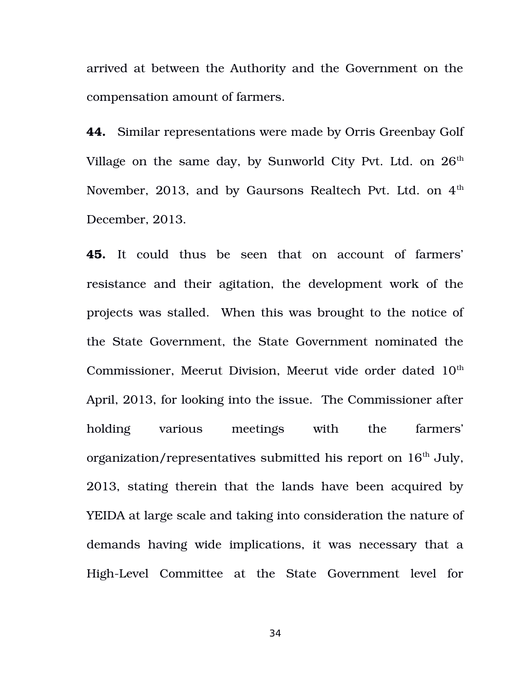arrived at between the Authority and the Government on the compensation amount of farmers.

**44.** Similar representations were made by Orris Greenbay Golf Village on the same day, by Sunworld City Pvt. Ltd. on  $26<sup>th</sup>$ November, 2013, and by Gaursons Realtech Pvt. Ltd. on  $4<sup>th</sup>$ December, 2013.

**45.** It could thus be seen that on account of farmers' resistance and their agitation, the development work of the projects was stalled. When this was brought to the notice of the State Government, the State Government nominated the Commissioner, Meerut Division, Meerut vide order dated 10<sup>th</sup> April, 2013, for looking into the issue. The Commissioner after holding various meetings with the farmers' organization/representatives submitted his report on  $16<sup>th</sup>$  July, 2013, stating therein that the lands have been acquired by YEIDA at large scale and taking into consideration the nature of demands having wide implications, it was necessary that a High-Level Committee at the State Government level for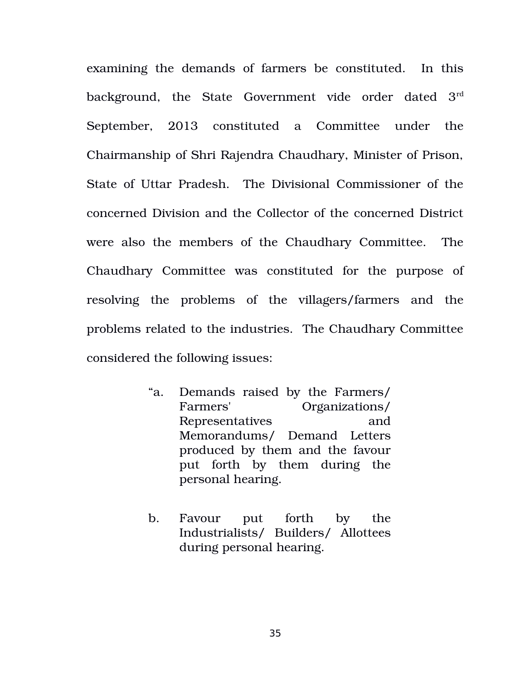examining the demands of farmers be constituted. In this background, the State Government vide order dated  $3<sup>rd</sup>$ September, 2013 constituted a Committee under the Chairmanship of Shri Rajendra Chaudhary, Minister of Prison, State of Uttar Pradesh. The Divisional Commissioner of the concerned Division and the Collector of the concerned District were also the members of the Chaudhary Committee. The Chaudhary Committee was constituted for the purpose of resolving the problems of the villagers/farmers and the problems related to the industries. The Chaudhary Committee considered the following issues:

- "a. Demands raised by the Farmers/ Farmers' Organizations/ Representatives and Memorandums/ Demand Letters produced by them and the favour put forth by them during the personal hearing.
- b. Favour put forth by the Industrialists/ Builders/ Allottees during personal hearing.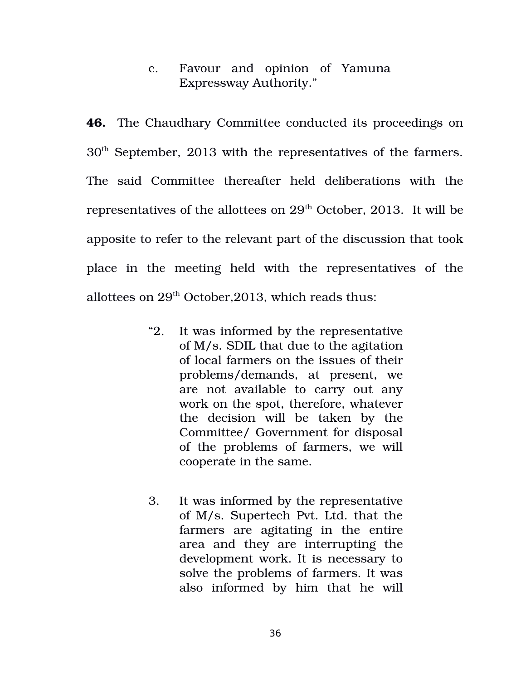c. Favour and opinion of Yamuna Expressway Authority."

**46.** The Chaudhary Committee conducted its proceedings on 30th September, 2013 with the representatives of the farmers. The said Committee thereafter held deliberations with the representatives of the allottees on 29<sup>th</sup> October, 2013. It will be apposite to refer to the relevant part of the discussion that took place in the meeting held with the representatives of the allottees on  $29<sup>th</sup>$  October, 2013, which reads thus:

- "2. It was informed by the representative of M/s. SDIL that due to the agitation of local farmers on the issues of their problems/demands, at present, we are not available to carry out any work on the spot, therefore, whatever the decision will be taken by the Committee/ Government for disposal of the problems of farmers, we will cooperate in the same.
- 3. It was informed by the representative of M/s. Supertech Pvt. Ltd. that the farmers are agitating in the entire area and they are interrupting the development work. It is necessary to solve the problems of farmers. It was also informed by him that he will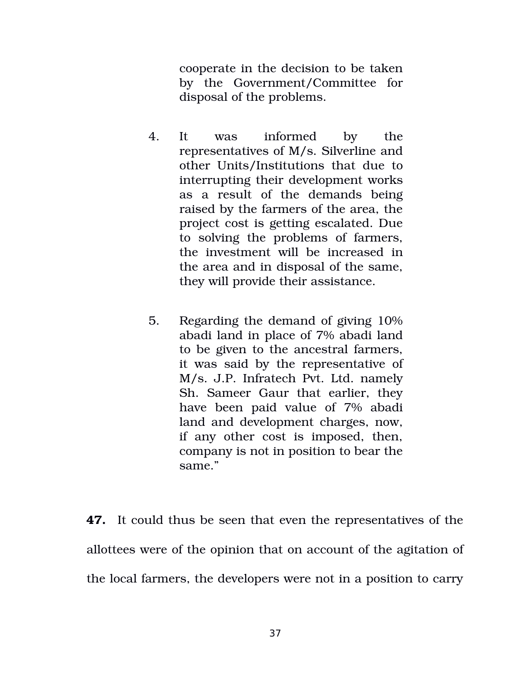cooperate in the decision to be taken by the Government/Committee for disposal of the problems.

- 4. It was informed by the representatives of M/s. Silverline and other Units/Institutions that due to interrupting their development works as a result of the demands being raised by the farmers of the area, the project cost is getting escalated. Due to solving the problems of farmers, the investment will be increased in the area and in disposal of the same, they will provide their assistance.
- 5. Regarding the demand of giving 10% abadi land in place of 7% abadi land to be given to the ancestral farmers, it was said by the representative of M/s. J.P. Infratech Pvt. Ltd. namely Sh. Sameer Gaur that earlier, they have been paid value of 7% abadi land and development charges, now, if any other cost is imposed, then, company is not in position to bear the same."

**47.** It could thus be seen that even the representatives of the allottees were of the opinion that on account of the agitation of the local farmers, the developers were not in a position to carry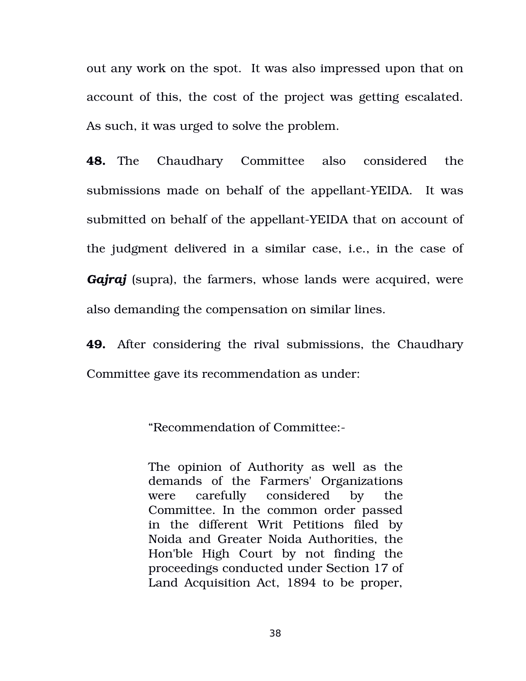out any work on the spot. It was also impressed upon that on account of this, the cost of the project was getting escalated. As such, it was urged to solve the problem.

**48.** The Chaudhary Committee also considered the submissions made on behalf of the appellant-YEIDA. It was submitted on behalf of the appellant-YEIDA that on account of the judgment delivered in a similar case, i.e., in the case of *Gajraj* (supra), the farmers, whose lands were acquired, were also demanding the compensation on similar lines.

**49.** After considering the rival submissions, the Chaudhary Committee gave its recommendation as under:

"Recommendation of Committee:

The opinion of Authority as well as the demands of the Farmers' Organizations were carefully considered by the Committee. In the common order passed in the different Writ Petitions filed by Noida and Greater Noida Authorities, the Hon'ble High Court by not finding the proceedings conducted under Section 17 of Land Acquisition Act, 1894 to be proper,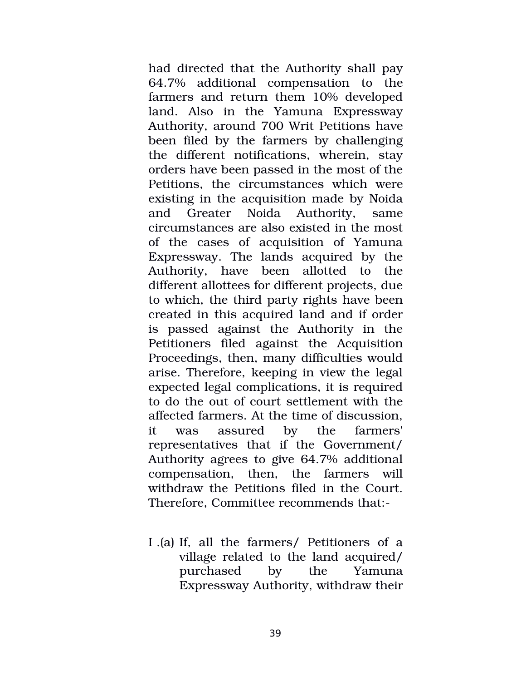had directed that the Authority shall pay 64.7% additional compensation to the farmers and return them 10% developed land. Also in the Yamuna Expressway Authority, around 700 Writ Petitions have been filed by the farmers by challenging the different notifications, wherein, stay orders have been passed in the most of the Petitions, the circumstances which were existing in the acquisition made by Noida and Greater Noida Authority, same circumstances are also existed in the most of the cases of acquisition of Yamuna Expressway. The lands acquired by the Authority, have been allotted to the different allottees for different projects, due to which, the third party rights have been created in this acquired land and if order is passed against the Authority in the Petitioners filed against the Acquisition Proceedings, then, many difficulties would arise. Therefore, keeping in view the legal expected legal complications, it is required to do the out of court settlement with the affected farmers. At the time of discussion, it was assured by the farmers' representatives that if the Government/ Authority agrees to give 64.7% additional compensation, then, the farmers will withdraw the Petitions filed in the Court. Therefore, Committee recommends that:

I .(a) If, all the farmers/ Petitioners of a village related to the land acquired/ purchased by the Yamuna Expressway Authority, withdraw their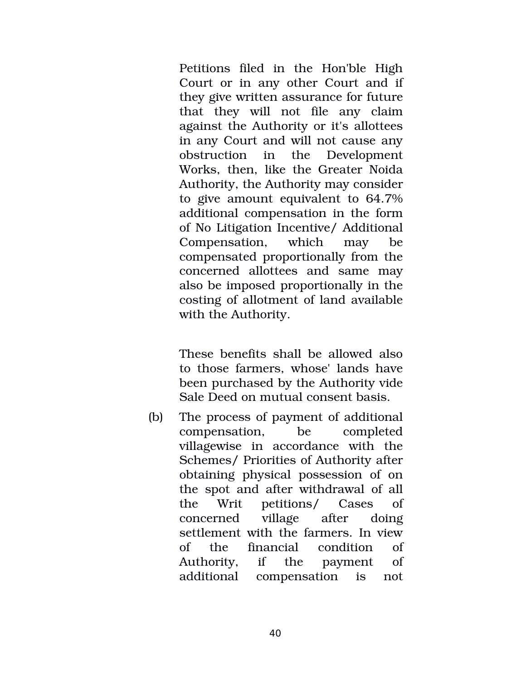Petitions filed in the Hon'ble High Court or in any other Court and if they give written assurance for future that they will not file any claim against the Authority or it's allottees in any Court and will not cause any obstruction in the Development Works, then, like the Greater Noida Authority, the Authority may consider to give amount equivalent to 64.7% additional compensation in the form of No Litigation Incentive/ Additional Compensation, which may be compensated proportionally from the concerned allottees and same may also be imposed proportionally in the costing of allotment of land available with the Authority.

These benefits shall be allowed also to those farmers, whose' lands have been purchased by the Authority vide Sale Deed on mutual consent basis.

(b) The process of payment of additional compensation, be completed villagewise in accordance with the Schemes/ Priorities of Authority after obtaining physical possession of on the spot and after withdrawal of all the Writ petitions/ Cases of concerned village after doing settlement with the farmers. In view of the financial condition of Authority, if the payment of additional compensation is not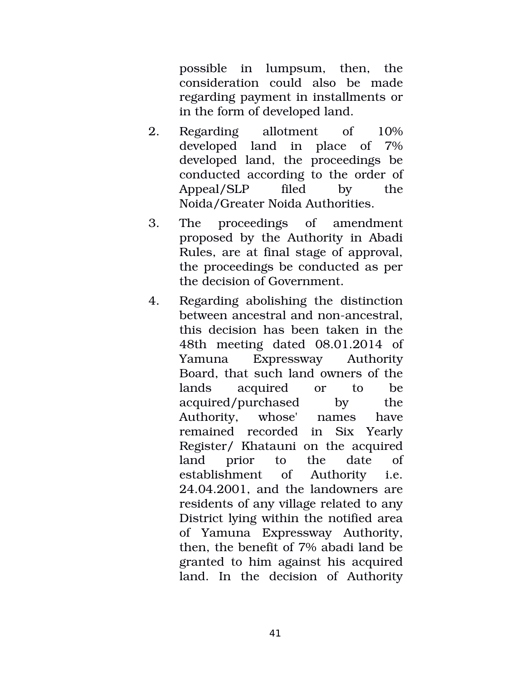possible in lumpsum, then, the consideration could also be made regarding payment in installments or in the form of developed land.

- 2. Regarding allotment of 10% developed land in place of 7% developed land, the proceedings be conducted according to the order of Appeal/SLP filed by the Noida/Greater Noida Authorities.
- 3. The proceedings of amendment proposed by the Authority in Abadi Rules, are at final stage of approval, the proceedings be conducted as per the decision of Government.
- 4. Regarding abolishing the distinction between ancestral and non-ancestral, this decision has been taken in the 48th meeting dated 08.01.2014 of Yamuna Expressway Authority Board, that such land owners of the lands acquired or to be acquired/purchased by the Authority, whose' names have remained recorded in Six Yearly Register/ Khatauni on the acquired land prior to the date pt establishment of Authority i.e. 24.04.2001, and the landowners are residents of any village related to any District lying within the notified area of Yamuna Expressway Authority, then, the benefit of 7% abadi land be granted to him against his acquired land. In the decision of Authority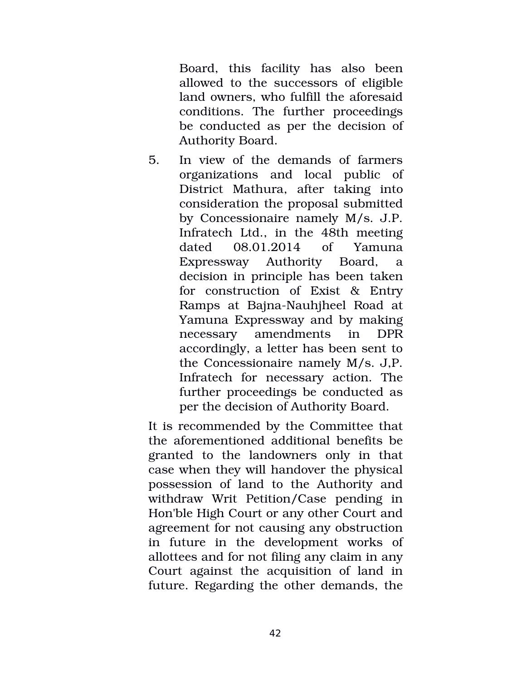Board, this facility has also been allowed to the successors of eligible land owners, who fulfill the aforesaid conditions. The further proceedings be conducted as per the decision of Authority Board.

5. In view of the demands of farmers organizations and local public of District Mathura, after taking into consideration the proposal submitted by Concessionaire namely M/s. J.P. Infratech Ltd., in the 48th meeting dated 08.01.2014 of Yamuna Expressway Authority Board, a decision in principle has been taken for construction of Exist & Entry Ramps at Bajna-Nauhjheel Road at Yamuna Expressway and by making necessary amendments in DPR accordingly, a letter has been sent to the Concessionaire namely M/s. J,P. Infratech for necessary action. The further proceedings be conducted as per the decision of Authority Board.

It is recommended by the Committee that the aforementioned additional benefits be granted to the landowners only in that case when they will handover the physical possession of land to the Authority and withdraw Writ Petition/Case pending in Hon'ble High Court or any other Court and agreement for not causing any obstruction in future in the development works of allottees and for not filing any claim in any Court against the acquisition of land in future. Regarding the other demands, the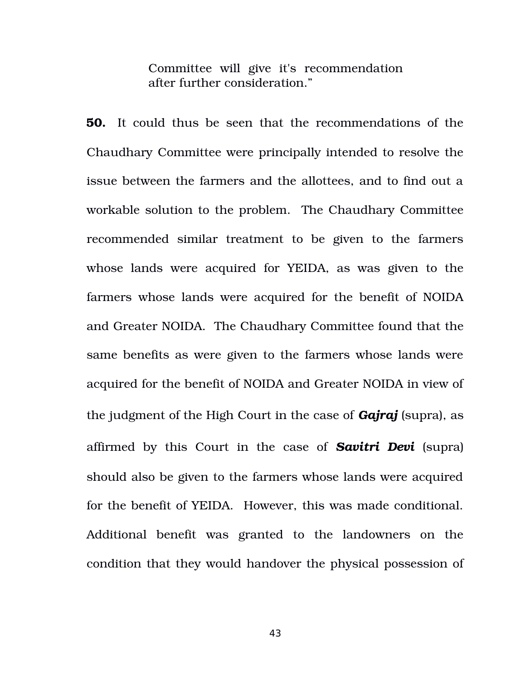Committee will give it's recommendation after further consideration."

**50.** It could thus be seen that the recommendations of the Chaudhary Committee were principally intended to resolve the issue between the farmers and the allottees, and to find out a workable solution to the problem. The Chaudhary Committee recommended similar treatment to be given to the farmers whose lands were acquired for YEIDA, as was given to the farmers whose lands were acquired for the benefit of NOIDA and Greater NOIDA. The Chaudhary Committee found that the same benefits as were given to the farmers whose lands were acquired for the benefit of NOIDA and Greater NOIDA in view of the judgment of the High Court in the case of *Gajraj* (supra), as affirmed by this Court in the case of *Savitri Devi* (supra) should also be given to the farmers whose lands were acquired for the benefit of YEIDA. However, this was made conditional. Additional benefit was granted to the landowners on the condition that they would handover the physical possession of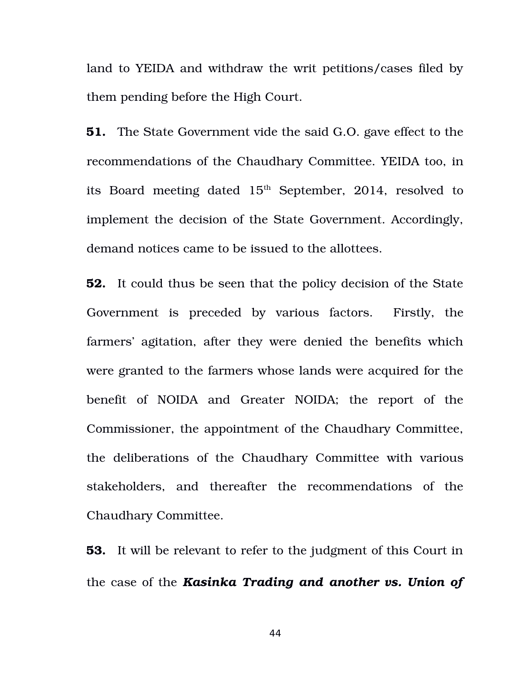land to YEIDA and withdraw the writ petitions/cases filed by them pending before the High Court.

**51.** The State Government vide the said G.O. gave effect to the recommendations of the Chaudhary Committee. YEIDA too, in its Board meeting dated  $15<sup>th</sup>$  September, 2014, resolved to implement the decision of the State Government. Accordingly, demand notices came to be issued to the allottees.

**52.** It could thus be seen that the policy decision of the State Government is preceded by various factors. Firstly, the farmers' agitation, after they were denied the benefits which were granted to the farmers whose lands were acquired for the benefit of NOIDA and Greater NOIDA; the report of the Commissioner, the appointment of the Chaudhary Committee, the deliberations of the Chaudhary Committee with various stakeholders, and thereafter the recommendations of the Chaudhary Committee.

**53.** It will be relevant to refer to the judgment of this Court in the case of the *Kasinka Trading and another vs. Union of*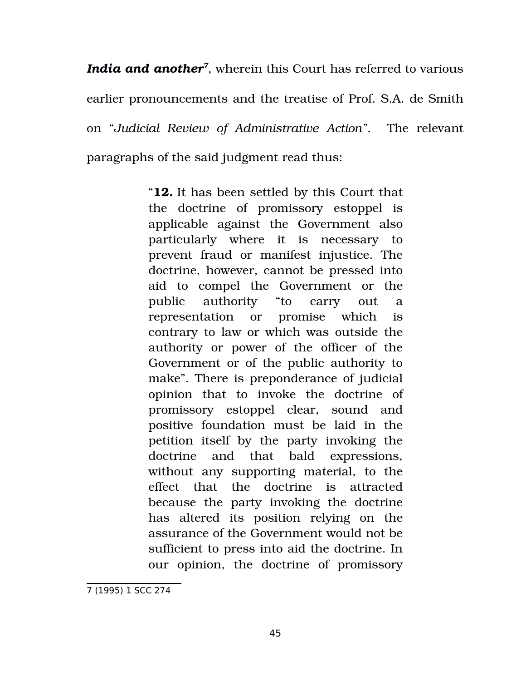*India and another[7](#page-44-0)* , wherein this Court has referred to various earlier pronouncements and the treatise of Prof. S.A. de Smith on "*Judicial Review of Administrative Action".* The relevant paragraphs of the said judgment read thus:

> "**12.** It has been settled by this Court that the doctrine of promissory estoppel is applicable against the Government also particularly where it is necessary to prevent fraud or manifest injustice. The doctrine, however, cannot be pressed into aid to compel the Government or the public authority "to carry out a representation or promise which is contrary to law or which was outside the authority or power of the officer of the Government or of the public authority to make". There is preponderance of judicial opinion that to invoke the doctrine of promissory estoppel clear, sound and positive foundation must be laid in the petition itself by the party invoking the doctrine and that bald expressions, without any supporting material, to the effect that the doctrine is attracted because the party invoking the doctrine has altered its position relying on the assurance of the Government would not be sufficient to press into aid the doctrine. In our opinion, the doctrine of promissory

<span id="page-44-0"></span><sup>7 (1995) 1</sup> SCC 274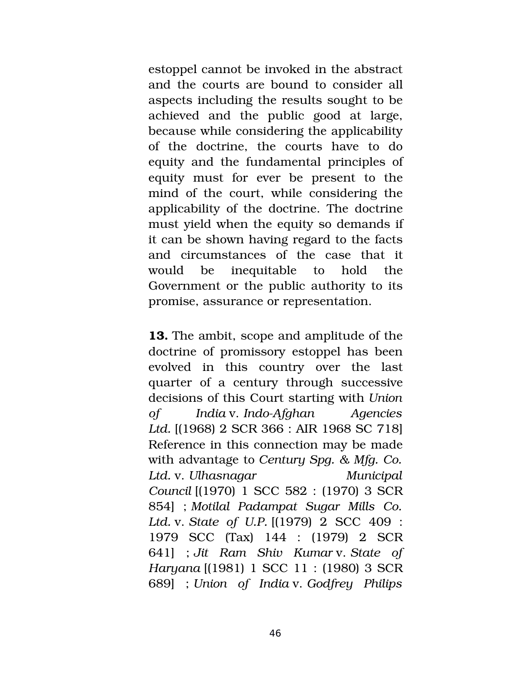estoppel cannot be invoked in the abstract and the courts are bound to consider all aspects including the results sought to be achieved and the public good at large, because while considering the applicability of the doctrine, the courts have to do equity and the fundamental principles of equity must for ever be present to the mind of the court, while considering the applicability of the doctrine. The doctrine must yield when the equity so demands if it can be shown having regard to the facts and circumstances of the case that it would be inequitable to hold the Government or the public authority to its promise, assurance or representation.

**13.** The ambit, scope and amplitude of the doctrine of promissory estoppel has been evolved in this country over the last quarter of a century through successive decisions of this Court starting with *Union of India* v. *IndoAfghan Agencies Ltd.* [(1968) 2 SCR 366 : AIR 1968 SC 718] Reference in this connection may be made with advantage to *Century Spg. & Mfg. Co. Ltd.* v. *Ulhasnagar Municipal Council* [(1970) 1 SCC 582 : (1970) 3 SCR 854] ; *Motilal Padampat Sugar Mills Co. Ltd.* v. *State of U.P.* [(1979) 2 SCC 409 : 1979 SCC (Tax) 144 : (1979) 2 SCR 641] ; *Jit Ram Shiv Kumar* v. *State of Haryana* [(1981) 1 SCC 11 : (1980) 3 SCR 689] ; *Union of India* v. *Godfrey Philips*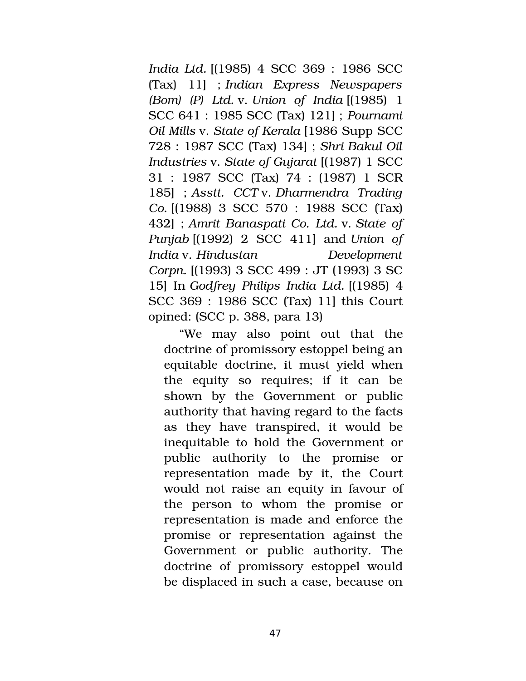*India Ltd.* [(1985) 4 SCC 369 : 1986 SCC (Tax) 11] ; *Indian Express Newspapers (Bom) (P) Ltd.* v. *Union of India* [(1985) 1 SCC 641 : 1985 SCC (Tax) 121] ; *Pournami Oil Mills* v. *State of Kerala* [1986 Supp SCC 728 : 1987 SCC (Tax) 134] ; *Shri Bakul Oil Industries* v. *State of Gujarat* [(1987) 1 SCC 31 : 1987 SCC (Tax) 74 : (1987) 1 SCR 185] ; *Asstt. CCT* v. *Dharmendra Trading Co.* [(1988) 3 SCC 570 : 1988 SCC (Tax) 432] ; *Amrit Banaspati Co. Ltd.* v. *State of Punjab* [(1992) 2 SCC 411] and *Union of India* v. *Hindustan Development Corpn.* [(1993) 3 SCC 499 : JT (1993) 3 SC 15] In *Godfrey Philips India Ltd.* [(1985) 4 SCC 369 : 1986 SCC (Tax) 11] this Court opined: (SCC p. 388, para 13)

"We may also point out that the doctrine of promissory estoppel being an equitable doctrine, it must yield when the equity so requires; if it can be shown by the Government or public authority that having regard to the facts as they have transpired, it would be inequitable to hold the Government or public authority to the promise or representation made by it, the Court would not raise an equity in favour of the person to whom the promise or representation is made and enforce the promise or representation against the Government or public authority. The doctrine of promissory estoppel would be displaced in such a case, because on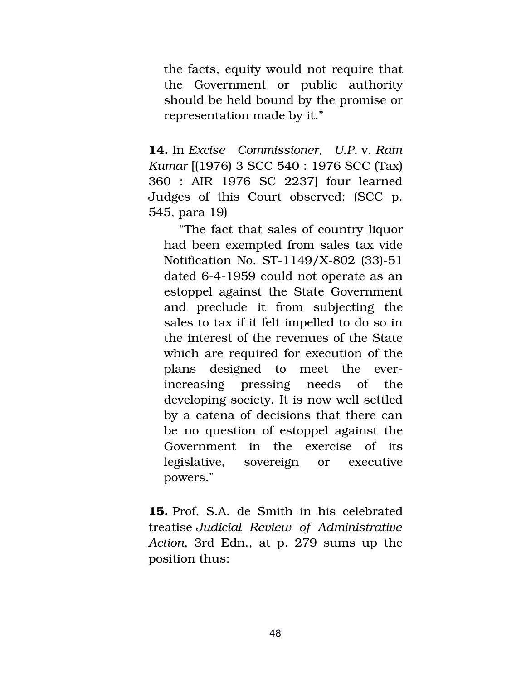the facts, equity would not require that the Government or public authority should be held bound by the promise or representation made by it."

**14.** In *Excise Commissioner, U.P.* v. *Ram Kumar* [(1976) 3 SCC 540 : 1976 SCC (Tax) 360 : AIR 1976 SC 2237] four learned Judges of this Court observed: (SCC p. 545, para 19)

"The fact that sales of country liquor had been exempted from sales tax vide Notification No. ST-1149/X-802 (33)-51 dated 6-4-1959 could not operate as an estoppel against the State Government and preclude it from subjecting the sales to tax if it felt impelled to do so in the interest of the revenues of the State which are required for execution of the plans designed to meet the everincreasing pressing needs of the developing society. It is now well settled by a catena of decisions that there can be no question of estoppel against the Government in the exercise of its legislative, sovereign or executive powers."

**15.** Prof. S.A. de Smith in his celebrated treatise *Judicial Review of Administrative Action*, 3rd Edn., at p. 279 sums up the position thus: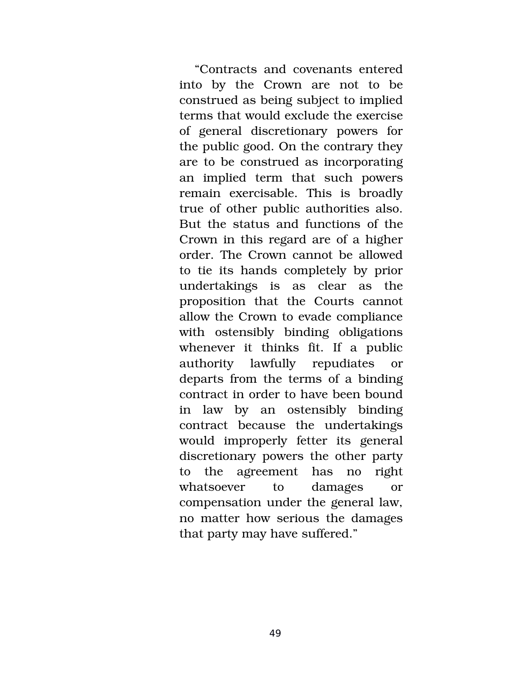"Contracts and covenants entered into by the Crown are not to be construed as being subject to implied terms that would exclude the exercise of general discretionary powers for the public good. On the contrary they are to be construed as incorporating an implied term that such powers remain exercisable. This is broadly true of other public authorities also. But the status and functions of the Crown in this regard are of a higher order. The Crown cannot be allowed to tie its hands completely by prior undertakings is as clear as the proposition that the Courts cannot allow the Crown to evade compliance with ostensibly binding obligations whenever it thinks fit. If a public authority lawfully repudiates or departs from the terms of a binding contract in order to have been bound in law by an ostensibly binding contract because the undertakings would improperly fetter its general discretionary powers the other party to the agreement has no right whatsoever to damages or compensation under the general law, no matter how serious the damages that party may have suffered."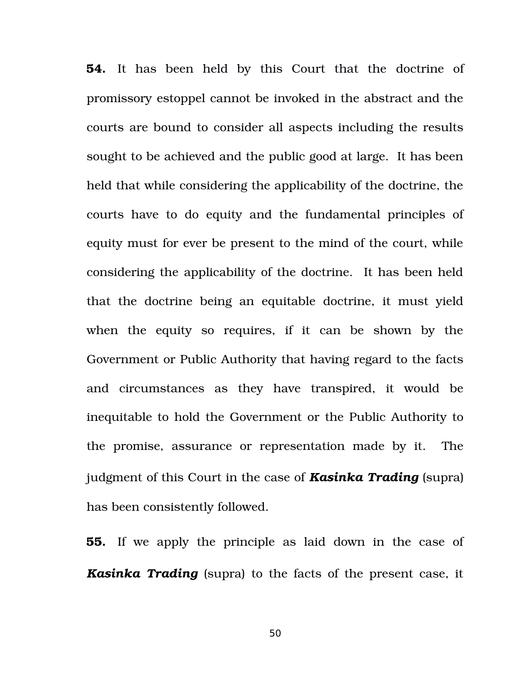**54.** It has been held by this Court that the doctrine of promissory estoppel cannot be invoked in the abstract and the courts are bound to consider all aspects including the results sought to be achieved and the public good at large. It has been held that while considering the applicability of the doctrine, the courts have to do equity and the fundamental principles of equity must for ever be present to the mind of the court, while considering the applicability of the doctrine. It has been held that the doctrine being an equitable doctrine, it must yield when the equity so requires, if it can be shown by the Government or Public Authority that having regard to the facts and circumstances as they have transpired, it would be inequitable to hold the Government or the Public Authority to the promise, assurance or representation made by it. The judgment of this Court in the case of *Kasinka Trading* (supra) has been consistently followed.

**55.** If we apply the principle as laid down in the case of *Kasinka Trading* (supra) to the facts of the present case, it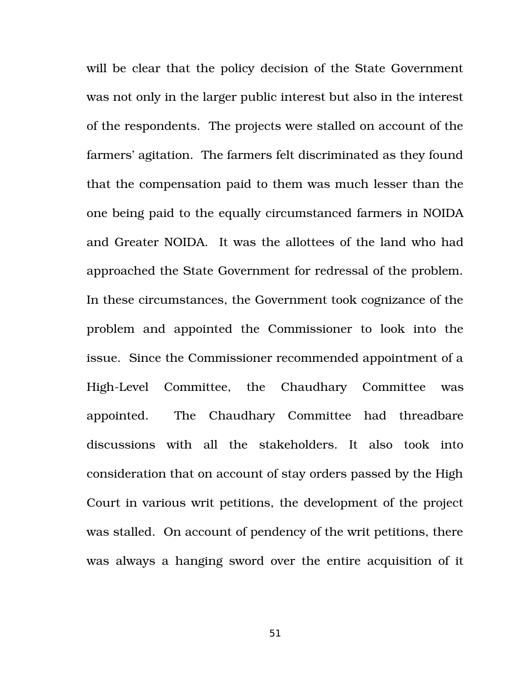will be clear that the policy decision of the State Government was not only in the larger public interest but also in the interest of the respondents. The projects were stalled on account of the farmers' agitation. The farmers felt discriminated as they found that the compensation paid to them was much lesser than the one being paid to the equally circumstanced farmers in NOIDA and Greater NOIDA. It was the allottees of the land who had approached the State Government for redressal of the problem. In these circumstances, the Government took cognizance of the problem and appointed the Commissioner to look into the issue. Since the Commissioner recommended appointment of a High-Level Committee, the Chaudhary Committee was appointed. The Chaudhary Committee had threadbare discussions with all the stakeholders. It also took into consideration that on account of stay orders passed by the High Court in various writ petitions, the development of the project was stalled. On account of pendency of the writ petitions, there was always a hanging sword over the entire acquisition of it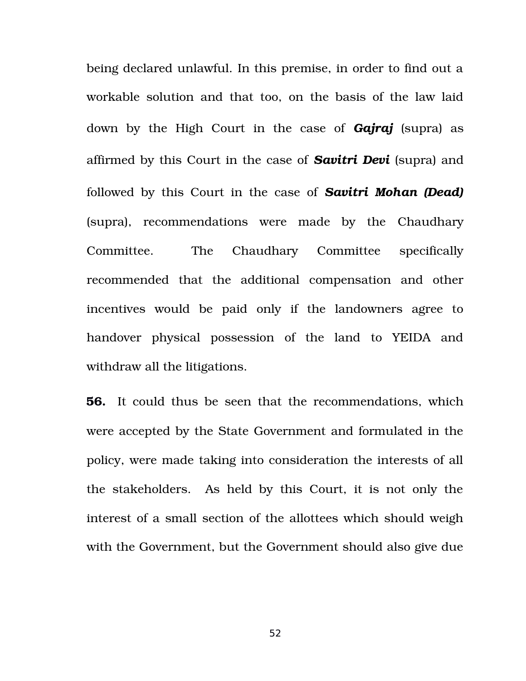being declared unlawful. In this premise, in order to find out a workable solution and that too, on the basis of the law laid down by the High Court in the case of *Gajraj* (supra) as affirmed by this Court in the case of *Savitri Devi* (supra) and followed by this Court in the case of *Savitri Mohan (Dead)* (supra), recommendations were made by the Chaudhary Committee. The Chaudhary Committee specifically recommended that the additional compensation and other incentives would be paid only if the landowners agree to handover physical possession of the land to YEIDA and withdraw all the litigations.

**56.** It could thus be seen that the recommendations, which were accepted by the State Government and formulated in the policy, were made taking into consideration the interests of all the stakeholders. As held by this Court, it is not only the interest of a small section of the allottees which should weigh with the Government, but the Government should also give due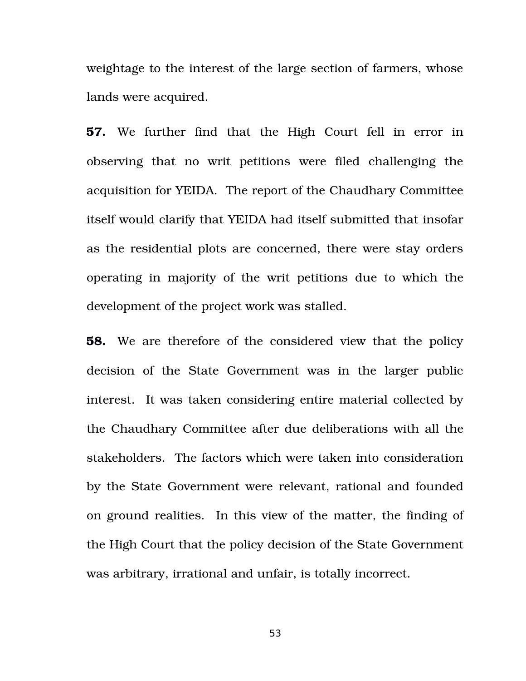weightage to the interest of the large section of farmers, whose lands were acquired.

**57.** We further find that the High Court fell in error in observing that no writ petitions were filed challenging the acquisition for YEIDA. The report of the Chaudhary Committee itself would clarify that YEIDA had itself submitted that insofar as the residential plots are concerned, there were stay orders operating in majority of the writ petitions due to which the development of the project work was stalled.

**58.** We are therefore of the considered view that the policy decision of the State Government was in the larger public interest. It was taken considering entire material collected by the Chaudhary Committee after due deliberations with all the stakeholders. The factors which were taken into consideration by the State Government were relevant, rational and founded on ground realities. In this view of the matter, the finding of the High Court that the policy decision of the State Government was arbitrary, irrational and unfair, is totally incorrect.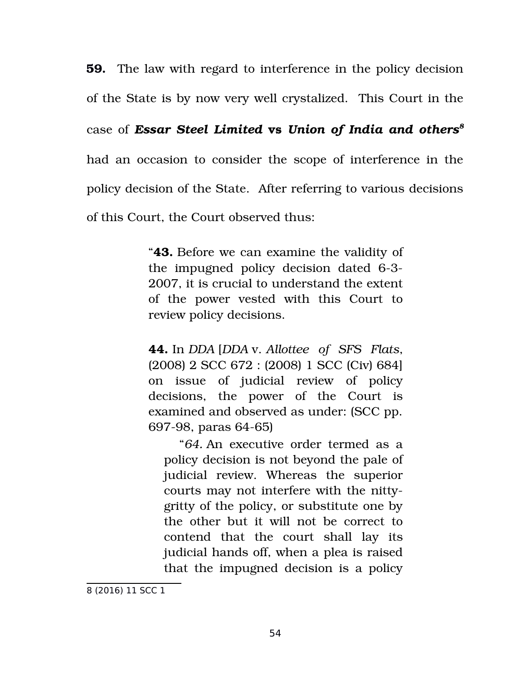**59.** The law with regard to interference in the policy decision of the State is by now very well crystalized. This Court in the case of *Essar Steel Limited* **vs** *Union of India and others[8](#page-53-0)* had an occasion to consider the scope of interference in the policy decision of the State. After referring to various decisions of this Court, the Court observed thus:

> "**43.** Before we can examine the validity of the impugned policy decision dated 6-3-2007, it is crucial to understand the extent of the power vested with this Court to review policy decisions.

> **44.** In *DDA* [*DDA* v. *Allottee of SFS Flats*, (2008) 2 SCC 672 : (2008) 1 SCC (Civ) 684] on issue of judicial review of policy decisions, the power of the Court is examined and observed as under: (SCC pp. 697-98, paras 64-65)

"*64.* An executive order termed as a policy decision is not beyond the pale of judicial review. Whereas the superior courts may not interfere with the nittygritty of the policy, or substitute one by the other but it will not be correct to contend that the court shall lay its judicial hands off, when a plea is raised that the impugned decision is a policy

<span id="page-53-0"></span><sup>8</sup> (2016) 11 SCC 1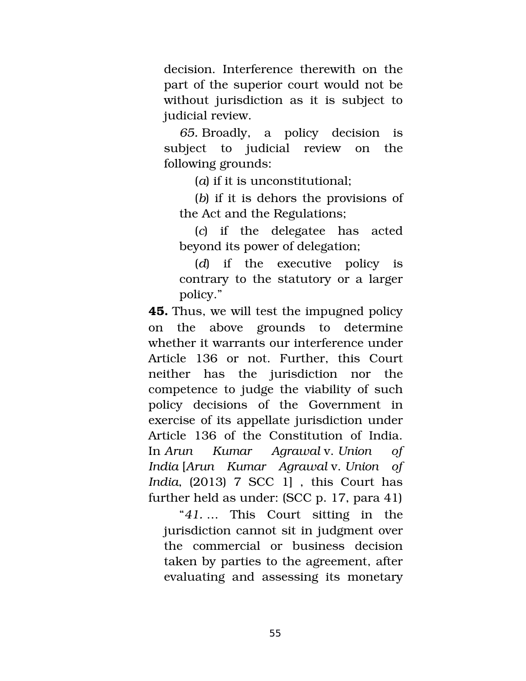decision. Interference therewith on the part of the superior court would not be without jurisdiction as it is subject to judicial review.

*65.* Broadly, a policy decision is subject to judicial review on the following grounds:

(*a*) if it is unconstitutional;

(*b*) if it is dehors the provisions of the Act and the Regulations;

(*c*) if the delegatee has acted beyond its power of delegation;

(*d*) if the executive policy is contrary to the statutory or a larger policy."

**45.** Thus, we will test the impugned policy on the above grounds to determine whether it warrants our interference under Article 136 or not. Further, this Court neither has the jurisdiction nor the competence to judge the viability of such policy decisions of the Government in exercise of its appellate jurisdiction under Article 136 of the Constitution of India. In *Arun Kumar Agrawal* v. *Union of India* [*Arun Kumar Agrawal* v. *Union of India*, (2013) 7 SCC 1] , this Court has further held as under: (SCC p. 17, para 41)

"*41.* … This Court sitting in the jurisdiction cannot sit in judgment over the commercial or business decision taken by parties to the agreement, after evaluating and assessing its monetary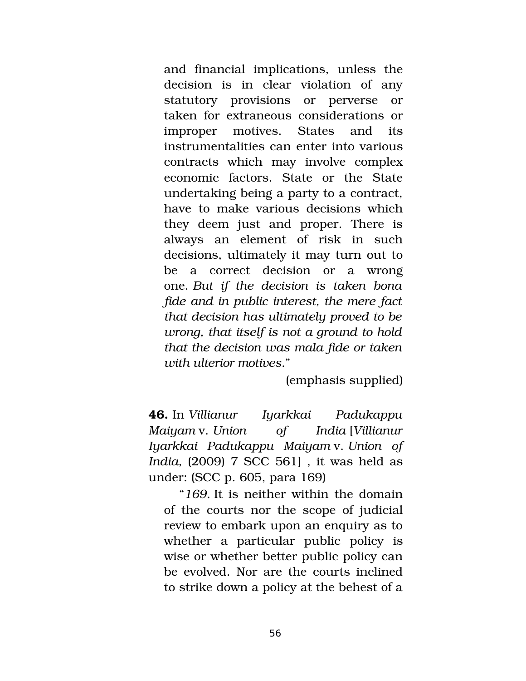and financial implications, unless the decision is in clear violation of any statutory provisions or perverse or taken for extraneous considerations or improper motives. States and its instrumentalities can enter into various contracts which may involve complex economic factors. State or the State undertaking being a party to a contract, have to make various decisions which they deem just and proper. There is always an element of risk in such decisions, ultimately it may turn out to be a correct decision or a wrong one. *But if the decision is taken bona fide and in public interest, the mere fact that decision has ultimately proved to be wrong, that itself is not a ground to hold that the decision was mala fide or taken with ulterior motives*."

(emphasis supplied)

**46.** In *Villianur Iyarkkai Padukappu Maiyam* v. *Union of India* [*Villianur Iyarkkai Padukappu Maiyam* v. *Union of India*, (2009) 7 SCC 561] , it was held as under: (SCC p. 605, para 169)

"*169.* It is neither within the domain of the courts nor the scope of judicial review to embark upon an enquiry as to whether a particular public policy is wise or whether better public policy can be evolved. Nor are the courts inclined to strike down a policy at the behest of a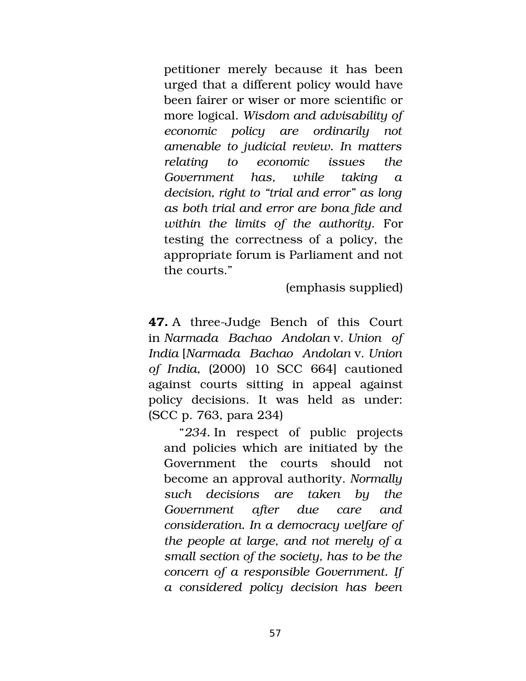petitioner merely because it has been urged that a different policy would have been fairer or wiser or more scientific or more logical. *Wisdom and advisability of economic policy are ordinarily not amenable to judicial review. In matters relating to economic issues the Government has, while taking a decision, right to "trial and error" as long as both trial and error are bona fide and within the limits of the authority*. For testing the correctness of a policy, the appropriate forum is Parliament and not the courts."

(emphasis supplied)

**47.** A three-Judge Bench of this Court in *Narmada Bachao Andolan* v. *Union of India* [*Narmada Bachao Andolan* v. *Union of India*, (2000) 10 SCC 664] cautioned against courts sitting in appeal against policy decisions. It was held as under: (SCC p. 763, para 234)

"*234.* In respect of public projects and policies which are initiated by the Government the courts should not become an approval authority. *Normally such decisions are taken by the Government after due care and consideration. In a democracy welfare of the people at large, and not merely of a small section of the society, has to be the concern of a responsible Government. If a considered policy decision has been*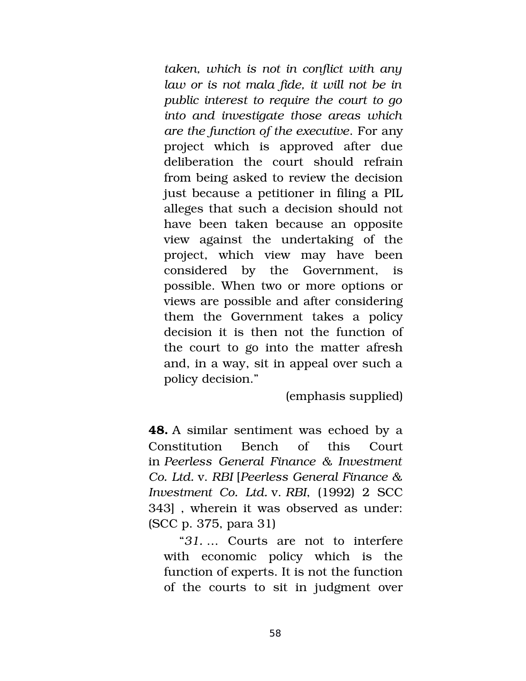*taken, which is not in conflict with any law or is not mala fide, it will not be in public interest to require the court to go into and investigate those areas which are the function of the executive*. For any project which is approved after due deliberation the court should refrain from being asked to review the decision just because a petitioner in filing a PIL alleges that such a decision should not have been taken because an opposite view against the undertaking of the project, which view may have been considered by the Government, is possible. When two or more options or views are possible and after considering them the Government takes a policy decision it is then not the function of the court to go into the matter afresh and, in a way, sit in appeal over such a policy decision."

(emphasis supplied)

**48.** A similar sentiment was echoed by a Constitution Bench of this Court in *Peerless General Finance & Investment Co. Ltd.* v. *RBI* [*Peerless General Finance & Investment Co. Ltd.* v. *RBI*, (1992) 2 SCC 343] , wherein it was observed as under: (SCC p. 375, para 31)

"*31.* … Courts are not to interfere with economic policy which is the function of experts. It is not the function of the courts to sit in judgment over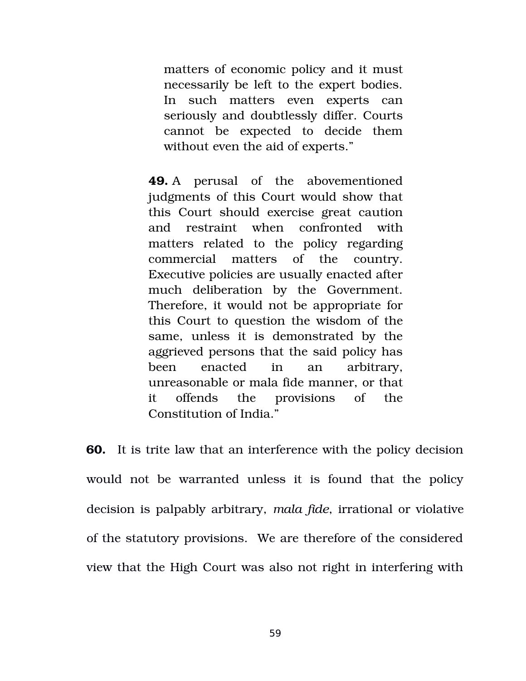matters of economic policy and it must necessarily be left to the expert bodies. In such matters even experts can seriously and doubtlessly differ. Courts cannot be expected to decide them without even the aid of experts."

**49.** A perusal of the abovementioned judgments of this Court would show that this Court should exercise great caution and restraint when confronted with matters related to the policy regarding commercial matters of the country. Executive policies are usually enacted after much deliberation by the Government. Therefore, it would not be appropriate for this Court to question the wisdom of the same, unless it is demonstrated by the aggrieved persons that the said policy has been enacted in an arbitrary, unreasonable or mala fide manner, or that it offends the provisions of the Constitution of India."

**60.** It is trite law that an interference with the policy decision would not be warranted unless it is found that the policy decision is palpably arbitrary, *mala fide*, irrational or violative of the statutory provisions. We are therefore of the considered view that the High Court was also not right in interfering with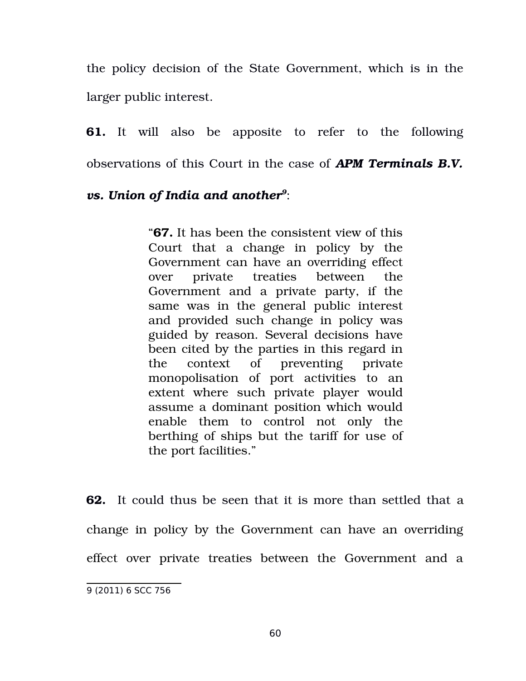the policy decision of the State Government, which is in the larger public interest.

**61.** It will also be apposite to refer to the following observations of this Court in the case of *APM Terminals B.V.*

## *vs. Union of India and another[9](#page-59-0)* :

"**67.** It has been the consistent view of this Court that a change in policy by the Government can have an overriding effect over private treaties between the Government and a private party, if the same was in the general public interest and provided such change in policy was guided by reason. Several decisions have been cited by the parties in this regard in the context of preventing private monopolisation of port activities to an extent where such private player would assume a dominant position which would enable them to control not only the berthing of ships but the tariff for use of the port facilities."

**62.** It could thus be seen that it is more than settled that a change in policy by the Government can have an overriding effect over private treaties between the Government and a

<span id="page-59-0"></span><sup>9 (2011) 6</sup> SCC 756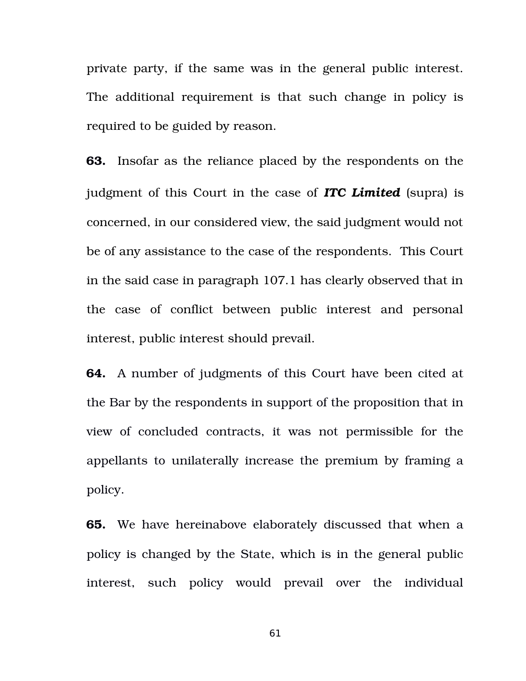private party, if the same was in the general public interest. The additional requirement is that such change in policy is required to be guided by reason.

**63.** Insofar as the reliance placed by the respondents on the judgment of this Court in the case of *ITC Limited* (supra) is concerned, in our considered view, the said judgment would not be of any assistance to the case of the respondents. This Court in the said case in paragraph 107.1 has clearly observed that in the case of conflict between public interest and personal interest, public interest should prevail.

**64.** A number of judgments of this Court have been cited at the Bar by the respondents in support of the proposition that in view of concluded contracts, it was not permissible for the appellants to unilaterally increase the premium by framing a policy.

**65.** We have hereinabove elaborately discussed that when a policy is changed by the State, which is in the general public interest, such policy would prevail over the individual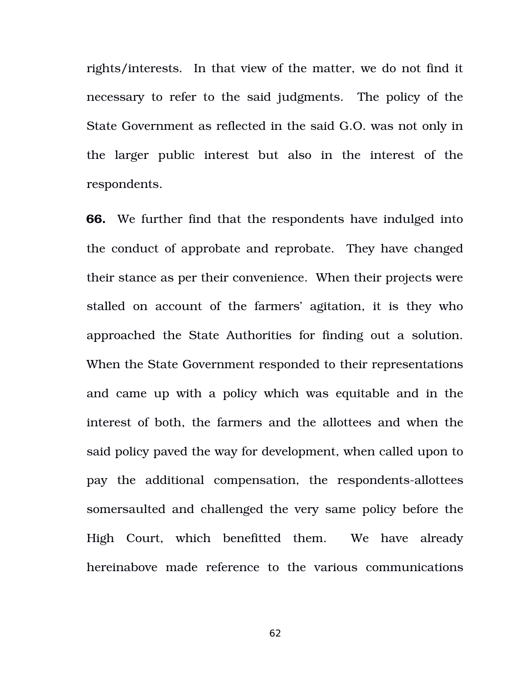rights/interests. In that view of the matter, we do not find it necessary to refer to the said judgments. The policy of the State Government as reflected in the said G.O. was not only in the larger public interest but also in the interest of the respondents.

**66.** We further find that the respondents have indulged into the conduct of approbate and reprobate. They have changed their stance as per their convenience. When their projects were stalled on account of the farmers' agitation, it is they who approached the State Authorities for finding out a solution. When the State Government responded to their representations and came up with a policy which was equitable and in the interest of both, the farmers and the allottees and when the said policy paved the way for development, when called upon to pay the additional compensation, the respondents-allottees somersaulted and challenged the very same policy before the High Court, which benefitted them. We have already hereinabove made reference to the various communications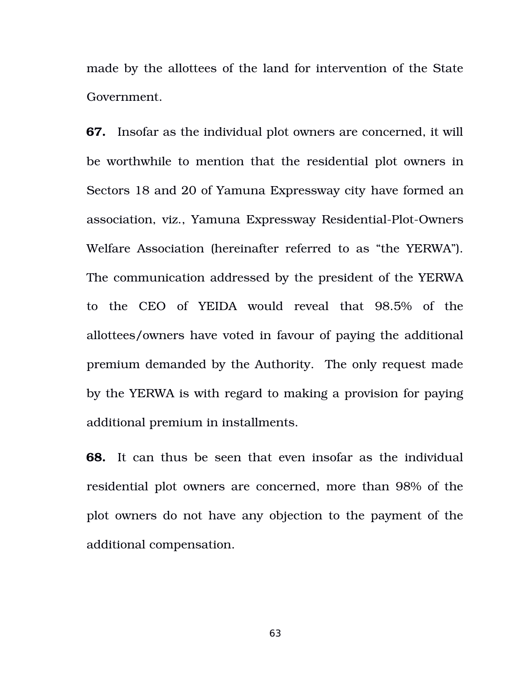made by the allottees of the land for intervention of the State Government.

**67.** Insofar as the individual plot owners are concerned, it will be worthwhile to mention that the residential plot owners in Sectors 18 and 20 of Yamuna Expressway city have formed an association, viz., Yamuna Expressway Residential-Plot-Owners Welfare Association (hereinafter referred to as "the YERWA"). The communication addressed by the president of the YERWA to the CEO of YEIDA would reveal that 98.5% of the allottees/owners have voted in favour of paying the additional premium demanded by the Authority. The only request made by the YERWA is with regard to making a provision for paying additional premium in installments.

**68.** It can thus be seen that even insofar as the individual residential plot owners are concerned, more than 98% of the plot owners do not have any objection to the payment of the additional compensation.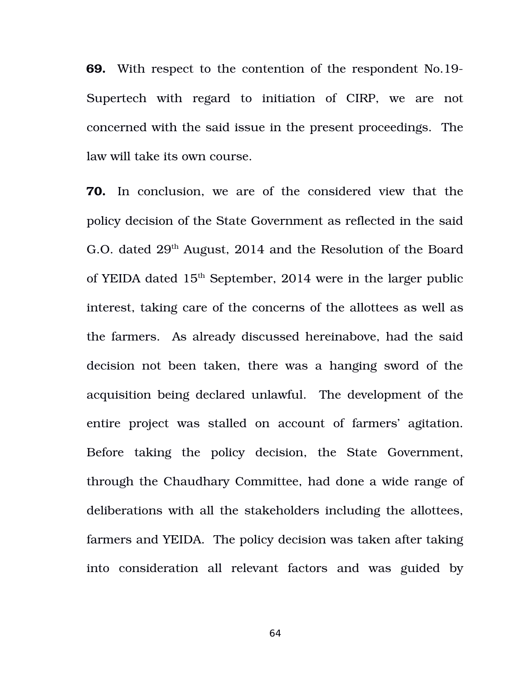**69.** With respect to the contention of the respondent No.19 Supertech with regard to initiation of CIRP, we are not concerned with the said issue in the present proceedings. The law will take its own course.

**70.** In conclusion, we are of the considered view that the policy decision of the State Government as reflected in the said G.O. dated  $29<sup>th</sup>$  August, 2014 and the Resolution of the Board of YEIDA dated  $15<sup>th</sup>$  September, 2014 were in the larger public interest, taking care of the concerns of the allottees as well as the farmers. As already discussed hereinabove, had the said decision not been taken, there was a hanging sword of the acquisition being declared unlawful. The development of the entire project was stalled on account of farmers' agitation. Before taking the policy decision, the State Government, through the Chaudhary Committee, had done a wide range of deliberations with all the stakeholders including the allottees, farmers and YEIDA. The policy decision was taken after taking into consideration all relevant factors and was guided by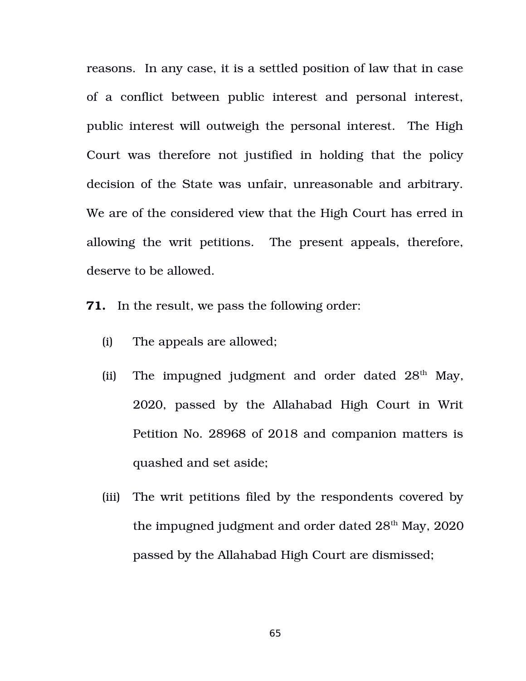reasons. In any case, it is a settled position of law that in case of a conflict between public interest and personal interest, public interest will outweigh the personal interest. The High Court was therefore not justified in holding that the policy decision of the State was unfair, unreasonable and arbitrary. We are of the considered view that the High Court has erred in allowing the writ petitions. The present appeals, therefore, deserve to be allowed.

**71.** In the result, we pass the following order:

- (i) The appeals are allowed;
- (ii) The impugned judgment and order dated  $28<sup>th</sup>$  May, 2020, passed by the Allahabad High Court in Writ Petition No. 28968 of 2018 and companion matters is quashed and set aside;
- (iii) The writ petitions filed by the respondents covered by the impugned judgment and order dated  $28<sup>th</sup>$  May,  $2020$ passed by the Allahabad High Court are dismissed;